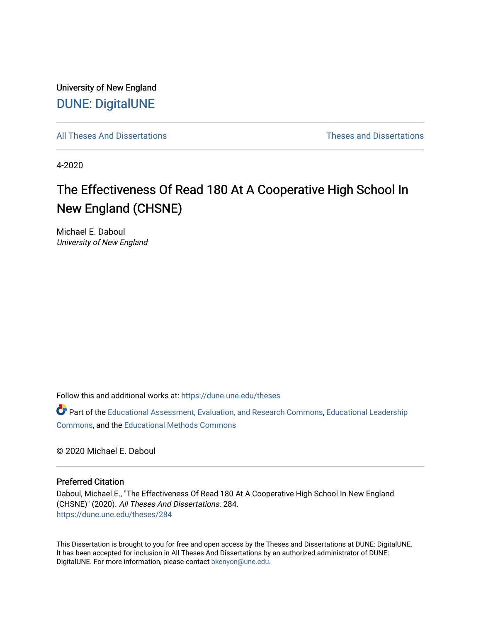University of New England [DUNE: DigitalUNE](https://dune.une.edu/) 

[All Theses And Dissertations](https://dune.une.edu/theses) [Theses and Dissertations](https://dune.une.edu/theses_dissertations) 

4-2020

# The Effectiveness Of Read 180 At A Cooperative High School In New England (CHSNE)

Michael E. Daboul University of New England

Follow this and additional works at: [https://dune.une.edu/theses](https://dune.une.edu/theses?utm_source=dune.une.edu%2Ftheses%2F284&utm_medium=PDF&utm_campaign=PDFCoverPages) 

Part of the [Educational Assessment, Evaluation, and Research Commons](http://network.bepress.com/hgg/discipline/796?utm_source=dune.une.edu%2Ftheses%2F284&utm_medium=PDF&utm_campaign=PDFCoverPages), [Educational Leadership](http://network.bepress.com/hgg/discipline/1230?utm_source=dune.une.edu%2Ftheses%2F284&utm_medium=PDF&utm_campaign=PDFCoverPages) [Commons](http://network.bepress.com/hgg/discipline/1230?utm_source=dune.une.edu%2Ftheses%2F284&utm_medium=PDF&utm_campaign=PDFCoverPages), and the [Educational Methods Commons](http://network.bepress.com/hgg/discipline/1227?utm_source=dune.une.edu%2Ftheses%2F284&utm_medium=PDF&utm_campaign=PDFCoverPages) 

© 2020 Michael E. Daboul

## Preferred Citation

Daboul, Michael E., "The Effectiveness Of Read 180 At A Cooperative High School In New England (CHSNE)" (2020). All Theses And Dissertations. 284. [https://dune.une.edu/theses/284](https://dune.une.edu/theses/284?utm_source=dune.une.edu%2Ftheses%2F284&utm_medium=PDF&utm_campaign=PDFCoverPages)

This Dissertation is brought to you for free and open access by the Theses and Dissertations at DUNE: DigitalUNE. It has been accepted for inclusion in All Theses And Dissertations by an authorized administrator of DUNE: DigitalUNE. For more information, please contact [bkenyon@une.edu.](mailto:bkenyon@une.edu)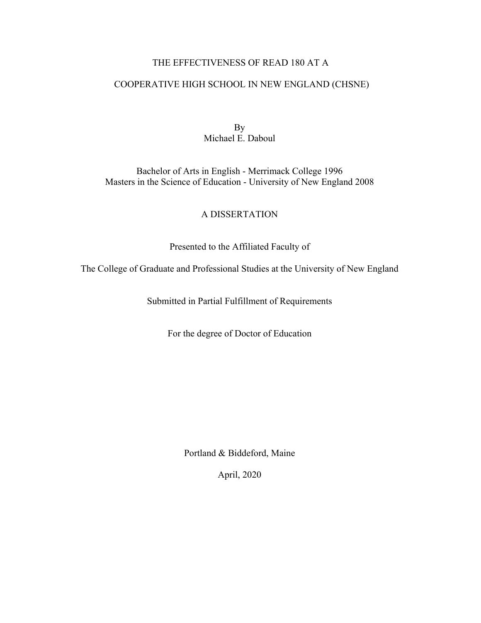# THE EFFECTIVENESS OF READ 180 AT A

# COOPERATIVE HIGH SCHOOL IN NEW ENGLAND (CHSNE)

By Michael E. Daboul

Bachelor of Arts in English - Merrimack College 1996 Masters in the Science of Education - University of New England 2008

# A DISSERTATION

Presented to the Affiliated Faculty of

The College of Graduate and Professional Studies at the University of New England

Submitted in Partial Fulfillment of Requirements

For the degree of Doctor of Education

Portland & Biddeford, Maine

April, 2020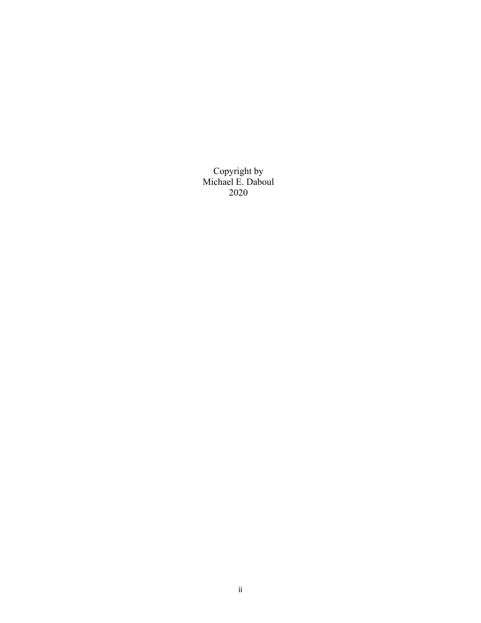Copyright by Michael E. Daboul 2020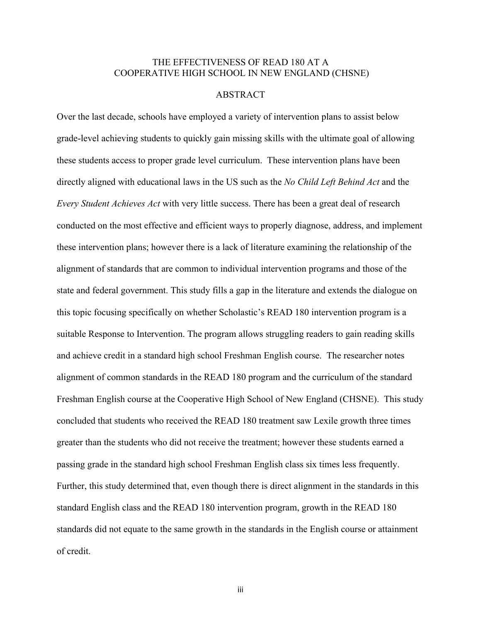# THE EFFECTIVENESS OF READ 180 AT A COOPERATIVE HIGH SCHOOL IN NEW ENGLAND (CHSNE)

# ABSTRACT

Over the last decade, schools have employed a variety of intervention plans to assist below grade-level achieving students to quickly gain missing skills with the ultimate goal of allowing these students access to proper grade level curriculum. These intervention plans have been directly aligned with educational laws in the US such as the *No Child Left Behind Act* and the *Every Student Achieves Act* with very little success. There has been a great deal of research conducted on the most effective and efficient ways to properly diagnose, address, and implement these intervention plans; however there is a lack of literature examining the relationship of the alignment of standards that are common to individual intervention programs and those of the state and federal government. This study fills a gap in the literature and extends the dialogue on this topic focusing specifically on whether Scholastic's READ 180 intervention program is a suitable Response to Intervention. The program allows struggling readers to gain reading skills and achieve credit in a standard high school Freshman English course. The researcher notes alignment of common standards in the READ 180 program and the curriculum of the standard Freshman English course at the Cooperative High School of New England (CHSNE). This study concluded that students who received the READ 180 treatment saw Lexile growth three times greater than the students who did not receive the treatment; however these students earned a passing grade in the standard high school Freshman English class six times less frequently. Further, this study determined that, even though there is direct alignment in the standards in this standard English class and the READ 180 intervention program, growth in the READ 180 standards did not equate to the same growth in the standards in the English course or attainment of credit.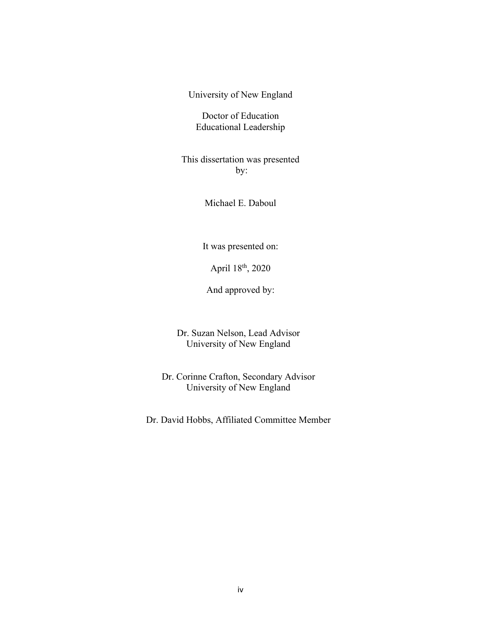University of New England

Doctor of Education Educational Leadership

This dissertation was presented by:

Michael E. Daboul

It was presented on:

April 18th, 2020

And approved by:

Dr. Suzan Nelson, Lead Advisor University of New England

Dr. Corinne Crafton, Secondary Advisor University of New England

Dr. David Hobbs, Affiliated Committee Member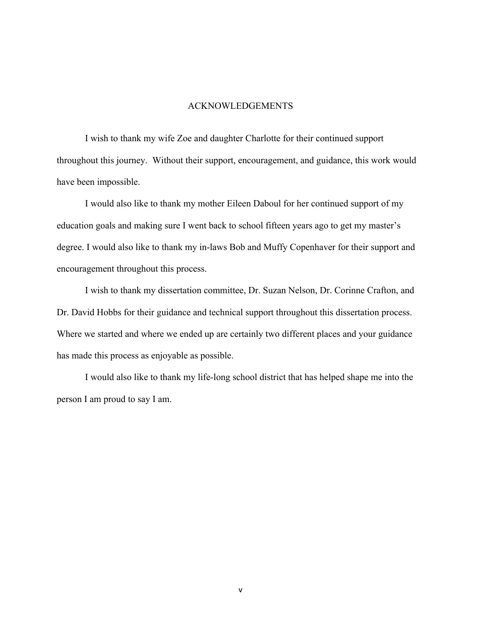#### ACKNOWLEDGEMENTS

I wish to thank my wife Zoe and daughter Charlotte for their continued support throughout this journey. Without their support, encouragement, and guidance, this work would have been impossible.

I would also like to thank my mother Eileen Daboul for her continued support of my education goals and making sure I went back to school fifteen years ago to get my master's degree. I would also like to thank my in-laws Bob and Muffy Copenhaver for their support and encouragement throughout this process.

I wish to thank my dissertation committee, Dr. Suzan Nelson, Dr. Corinne Crafton, and Dr. David Hobbs for their guidance and technical support throughout this dissertation process. Where we started and where we ended up are certainly two different places and your guidance has made this process as enjoyable as possible.

I would also like to thank my life-long school district that has helped shape me into the person I am proud to say I am.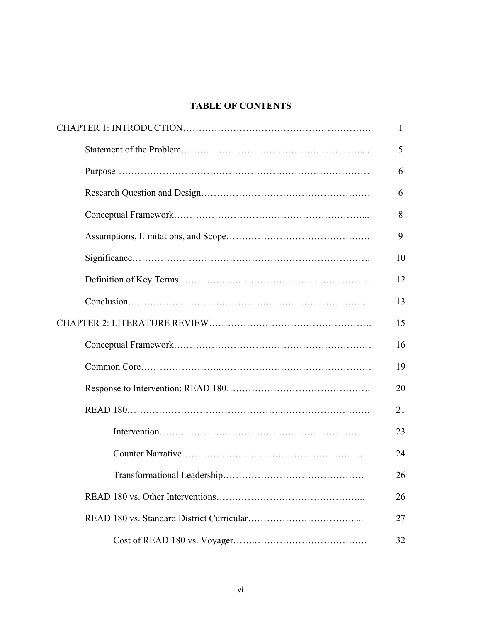# **TABLE OF CONTENTS**

| 1  |
|----|
| 5  |
| 6  |
| 6  |
| 8  |
| 9  |
| 10 |
| 12 |
| 13 |
| 15 |
| 16 |
| 19 |
| 20 |
| 21 |
| 23 |
| 24 |
| 26 |
| 26 |
| 27 |
| 32 |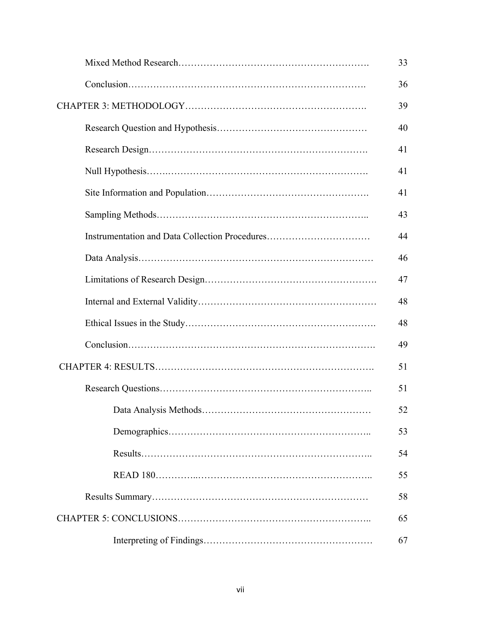|                                                | 33 |
|------------------------------------------------|----|
|                                                | 36 |
|                                                | 39 |
|                                                | 40 |
|                                                | 41 |
|                                                | 41 |
|                                                | 41 |
|                                                | 43 |
| Instrumentation and Data Collection Procedures | 44 |
|                                                | 46 |
|                                                | 47 |
|                                                | 48 |
|                                                | 48 |
|                                                | 49 |
|                                                | 51 |
|                                                | 51 |
|                                                | 52 |
|                                                | 53 |
|                                                | 54 |
|                                                | 55 |
|                                                | 58 |
|                                                | 65 |
|                                                | 67 |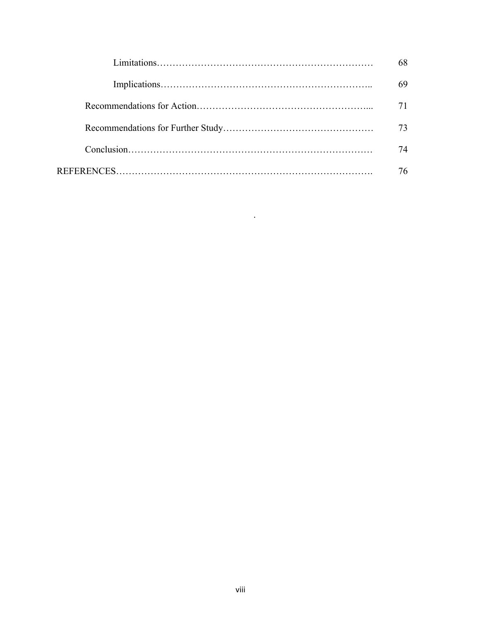| 73 |
|----|
| 74 |
| 76 |

.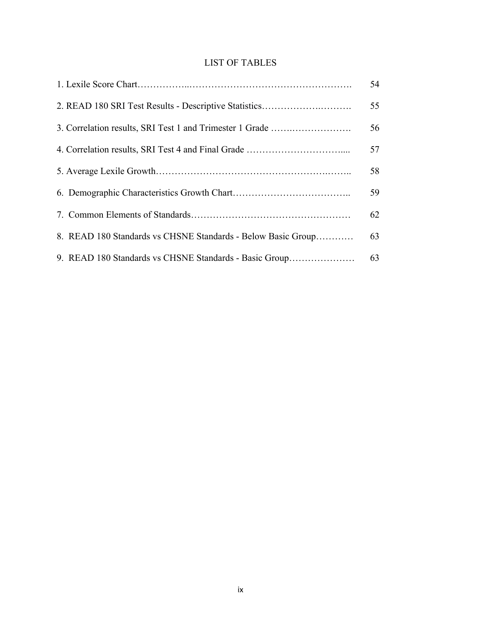# LIST OF TABLES

|                                                              | 54 |
|--------------------------------------------------------------|----|
|                                                              | 55 |
| 3. Correlation results, SRI Test 1 and Trimester 1 Grade     | 56 |
|                                                              | 57 |
|                                                              | 58 |
|                                                              | 59 |
|                                                              | 62 |
| 8. READ 180 Standards vs CHSNE Standards - Below Basic Group | 63 |
| 9. READ 180 Standards vs CHSNE Standards - Basic Group       | 63 |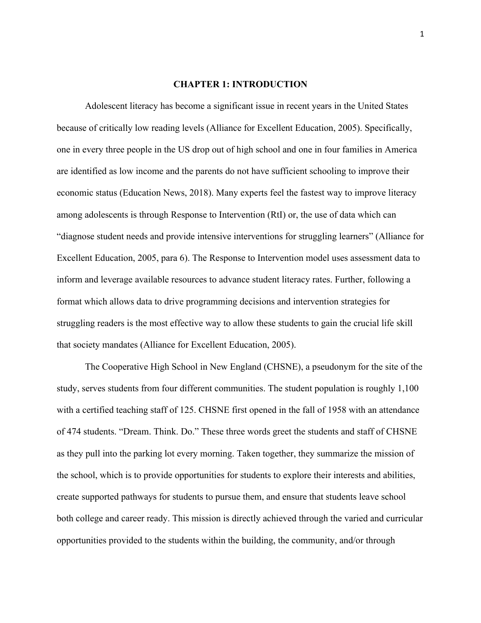### **CHAPTER 1: INTRODUCTION**

Adolescent literacy has become a significant issue in recent years in the United States because of critically low reading levels (Alliance for Excellent Education, 2005). Specifically, one in every three people in the US drop out of high school and one in four families in America are identified as low income and the parents do not have sufficient schooling to improve their economic status (Education News, 2018). Many experts feel the fastest way to improve literacy among adolescents is through Response to Intervention (RtI) or, the use of data which can "diagnose student needs and provide intensive interventions for struggling learners" (Alliance for Excellent Education, 2005, para 6). The Response to Intervention model uses assessment data to inform and leverage available resources to advance student literacy rates. Further, following a format which allows data to drive programming decisions and intervention strategies for struggling readers is the most effective way to allow these students to gain the crucial life skill that society mandates (Alliance for Excellent Education, 2005).

The Cooperative High School in New England (CHSNE), a pseudonym for the site of the study, serves students from four different communities. The student population is roughly 1,100 with a certified teaching staff of 125. CHSNE first opened in the fall of 1958 with an attendance of 474 students. "Dream. Think. Do." These three words greet the students and staff of CHSNE as they pull into the parking lot every morning. Taken together, they summarize the mission of the school, which is to provide opportunities for students to explore their interests and abilities, create supported pathways for students to pursue them, and ensure that students leave school both college and career ready. This mission is directly achieved through the varied and curricular opportunities provided to the students within the building, the community, and/or through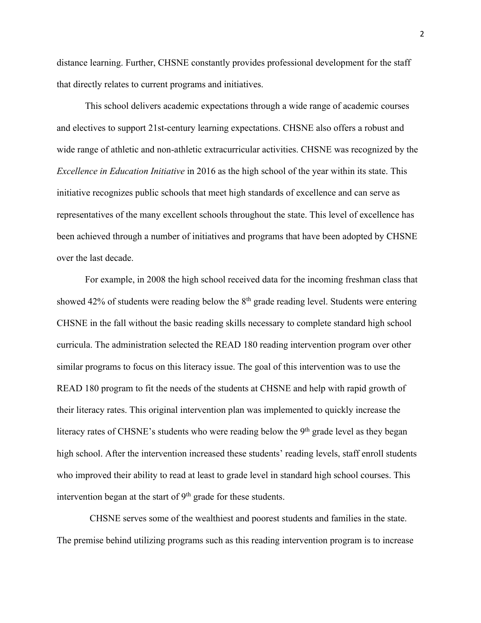distance learning. Further, CHSNE constantly provides professional development for the staff that directly relates to current programs and initiatives.

This school delivers academic expectations through a wide range of academic courses and electives to support 21st-century learning expectations. CHSNE also offers a robust and wide range of athletic and non-athletic extracurricular activities. CHSNE was recognized by the *Excellence in Education Initiative* in 2016 as the high school of the year within its state. This initiative recognizes public schools that meet high standards of excellence and can serve as representatives of the many excellent schools throughout the state. This level of excellence has been achieved through a number of initiatives and programs that have been adopted by CHSNE over the last decade.

For example, in 2008 the high school received data for the incoming freshman class that showed 42% of students were reading below the  $8<sup>th</sup>$  grade reading level. Students were entering CHSNE in the fall without the basic reading skills necessary to complete standard high school curricula. The administration selected the READ 180 reading intervention program over other similar programs to focus on this literacy issue. The goal of this intervention was to use the READ 180 program to fit the needs of the students at CHSNE and help with rapid growth of their literacy rates. This original intervention plan was implemented to quickly increase the literacy rates of CHSNE's students who were reading below the  $9<sup>th</sup>$  grade level as they began high school. After the intervention increased these students' reading levels, staff enroll students who improved their ability to read at least to grade level in standard high school courses. This intervention began at the start of  $9<sup>th</sup>$  grade for these students.

 CHSNE serves some of the wealthiest and poorest students and families in the state. The premise behind utilizing programs such as this reading intervention program is to increase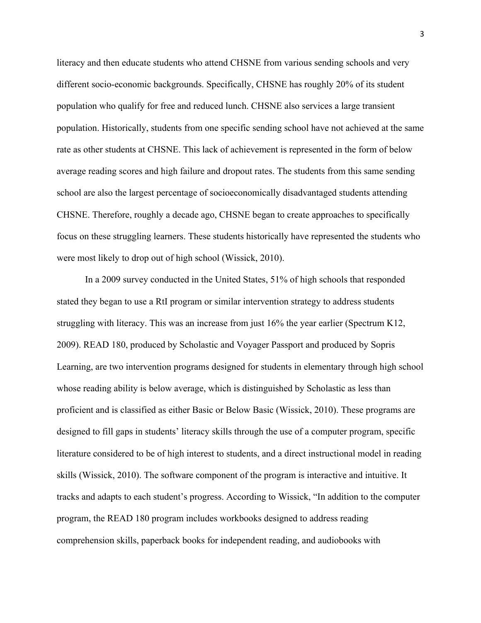literacy and then educate students who attend CHSNE from various sending schools and very different socio-economic backgrounds. Specifically, CHSNE has roughly 20% of its student population who qualify for free and reduced lunch. CHSNE also services a large transient population. Historically, students from one specific sending school have not achieved at the same rate as other students at CHSNE. This lack of achievement is represented in the form of below average reading scores and high failure and dropout rates. The students from this same sending school are also the largest percentage of socioeconomically disadvantaged students attending CHSNE. Therefore, roughly a decade ago, CHSNE began to create approaches to specifically focus on these struggling learners. These students historically have represented the students who were most likely to drop out of high school (Wissick, 2010).

In a 2009 survey conducted in the United States, 51% of high schools that responded stated they began to use a RtI program or similar intervention strategy to address students struggling with literacy. This was an increase from just 16% the year earlier (Spectrum K12, 2009). READ 180, produced by Scholastic and Voyager Passport and produced by Sopris Learning, are two intervention programs designed for students in elementary through high school whose reading ability is below average, which is distinguished by Scholastic as less than proficient and is classified as either Basic or Below Basic (Wissick, 2010). These programs are designed to fill gaps in students' literacy skills through the use of a computer program, specific literature considered to be of high interest to students, and a direct instructional model in reading skills (Wissick, 2010). The software component of the program is interactive and intuitive. It tracks and adapts to each student's progress. According to Wissick, "In addition to the computer program, the READ 180 program includes workbooks designed to address reading comprehension skills, paperback books for independent reading, and audiobooks with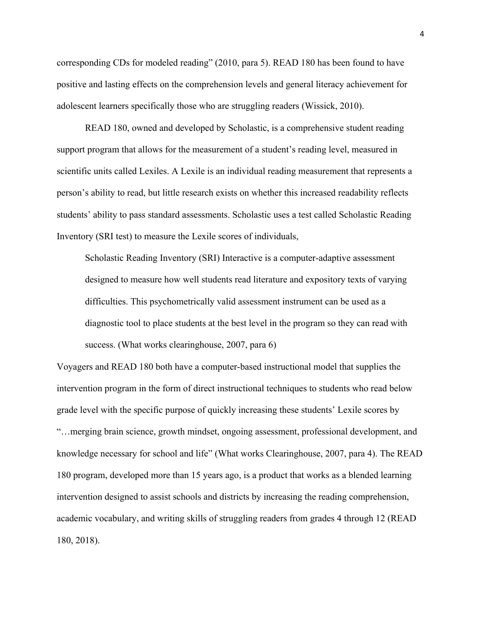corresponding CDs for modeled reading" (2010, para 5). READ 180 has been found to have positive and lasting effects on the comprehension levels and general literacy achievement for adolescent learners specifically those who are struggling readers (Wissick, 2010).

READ 180, owned and developed by Scholastic, is a comprehensive student reading support program that allows for the measurement of a student's reading level, measured in scientific units called Lexiles. A Lexile is an individual reading measurement that represents a person's ability to read, but little research exists on whether this increased readability reflects students' ability to pass standard assessments. Scholastic uses a test called Scholastic Reading Inventory (SRI test) to measure the Lexile scores of individuals,

Scholastic Reading Inventory (SRI) Interactive is a computer-adaptive assessment designed to measure how well students read literature and expository texts of varying difficulties. This psychometrically valid assessment instrument can be used as a diagnostic tool to place students at the best level in the program so they can read with success. (What works clearinghouse, 2007, para 6)

Voyagers and READ 180 both have a computer-based instructional model that supplies the intervention program in the form of direct instructional techniques to students who read below grade level with the specific purpose of quickly increasing these students' Lexile scores by "…merging brain science, growth mindset, ongoing assessment, professional development, and knowledge necessary for school and life" (What works Clearinghouse, 2007, para 4). The READ 180 program, developed more than 15 years ago, is a product that works as a blended learning intervention designed to assist schools and districts by increasing the reading comprehension, academic vocabulary, and writing skills of struggling readers from grades 4 through 12 (READ 180, 2018).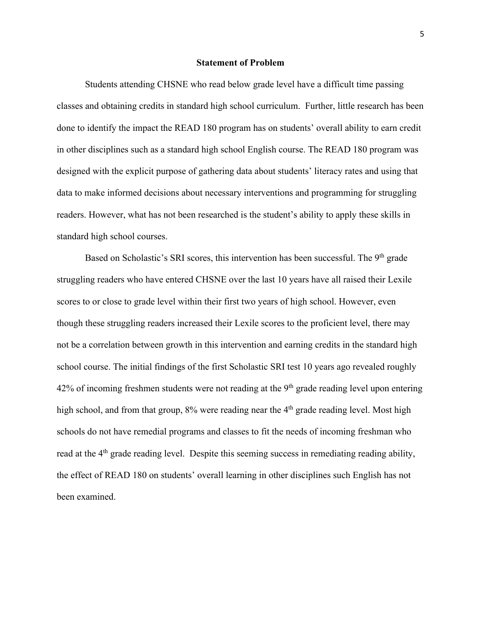#### **Statement of Problem**

Students attending CHSNE who read below grade level have a difficult time passing classes and obtaining credits in standard high school curriculum. Further, little research has been done to identify the impact the READ 180 program has on students' overall ability to earn credit in other disciplines such as a standard high school English course. The READ 180 program was designed with the explicit purpose of gathering data about students' literacy rates and using that data to make informed decisions about necessary interventions and programming for struggling readers. However, what has not been researched is the student's ability to apply these skills in standard high school courses.

Based on Scholastic's SRI scores, this intervention has been successful. The 9<sup>th</sup> grade struggling readers who have entered CHSNE over the last 10 years have all raised their Lexile scores to or close to grade level within their first two years of high school. However, even though these struggling readers increased their Lexile scores to the proficient level, there may not be a correlation between growth in this intervention and earning credits in the standard high school course. The initial findings of the first Scholastic SRI test 10 years ago revealed roughly  $42\%$  of incoming freshmen students were not reading at the  $9<sup>th</sup>$  grade reading level upon entering high school, and from that group,  $8\%$  were reading near the  $4<sup>th</sup>$  grade reading level. Most high schools do not have remedial programs and classes to fit the needs of incoming freshman who read at the 4<sup>th</sup> grade reading level. Despite this seeming success in remediating reading ability, the effect of READ 180 on students' overall learning in other disciplines such English has not been examined.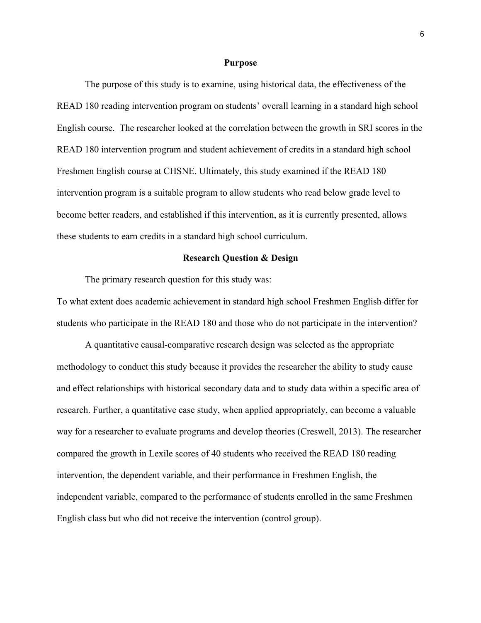#### **Purpose**

The purpose of this study is to examine, using historical data, the effectiveness of the READ 180 reading intervention program on students' overall learning in a standard high school English course. The researcher looked at the correlation between the growth in SRI scores in the READ 180 intervention program and student achievement of credits in a standard high school Freshmen English course at CHSNE. Ultimately, this study examined if the READ 180 intervention program is a suitable program to allow students who read below grade level to become better readers, and established if this intervention, as it is currently presented, allows these students to earn credits in a standard high school curriculum.

# **Research Question & Design**

The primary research question for this study was:

To what extent does academic achievement in standard high school Freshmen English differ for students who participate in the READ 180 and those who do not participate in the intervention?

A quantitative causal-comparative research design was selected as the appropriate methodology to conduct this study because it provides the researcher the ability to study cause and effect relationships with historical secondary data and to study data within a specific area of research. Further, a quantitative case study, when applied appropriately, can become a valuable way for a researcher to evaluate programs and develop theories (Creswell, 2013). The researcher compared the growth in Lexile scores of 40 students who received the READ 180 reading intervention, the dependent variable, and their performance in Freshmen English, the independent variable, compared to the performance of students enrolled in the same Freshmen English class but who did not receive the intervention (control group).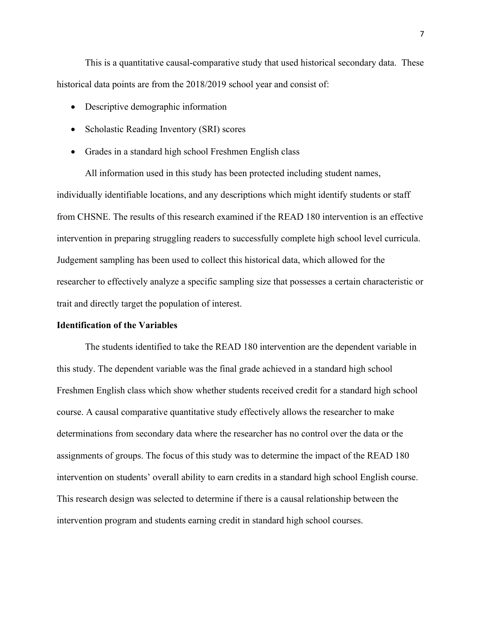This is a quantitative causal-comparative study that used historical secondary data. These historical data points are from the 2018/2019 school year and consist of:

- Descriptive demographic information
- Scholastic Reading Inventory (SRI) scores
- Grades in a standard high school Freshmen English class

All information used in this study has been protected including student names, individually identifiable locations, and any descriptions which might identify students or staff from CHSNE. The results of this research examined if the READ 180 intervention is an effective intervention in preparing struggling readers to successfully complete high school level curricula. Judgement sampling has been used to collect this historical data, which allowed for the researcher to effectively analyze a specific sampling size that possesses a certain characteristic or trait and directly target the population of interest.

# **Identification of the Variables**

The students identified to take the READ 180 intervention are the dependent variable in this study. The dependent variable was the final grade achieved in a standard high school Freshmen English class which show whether students received credit for a standard high school course. A causal comparative quantitative study effectively allows the researcher to make determinations from secondary data where the researcher has no control over the data or the assignments of groups. The focus of this study was to determine the impact of the READ 180 intervention on students' overall ability to earn credits in a standard high school English course. This research design was selected to determine if there is a causal relationship between the intervention program and students earning credit in standard high school courses.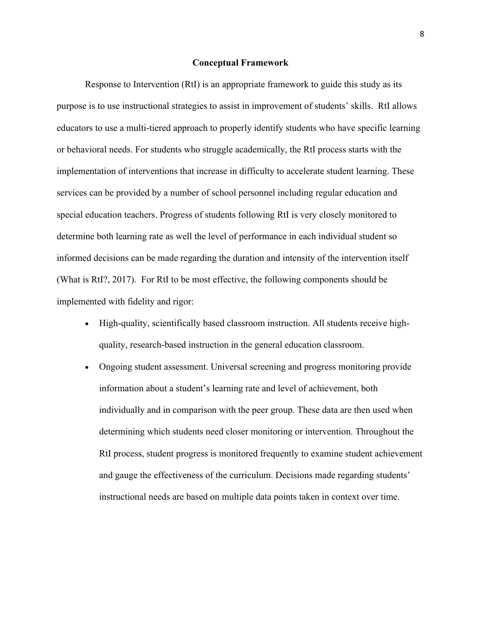#### **Conceptual Framework**

Response to Intervention (RtI) is an appropriate framework to guide this study as its purpose is to use instructional strategies to assist in improvement of students' skills. RtI allows educators to use a multi-tiered approach to properly identify students who have specific learning or behavioral needs. For students who struggle academically, the RtI process starts with the implementation of interventions that increase in difficulty to accelerate student learning. These services can be provided by a number of school personnel including regular education and special education teachers. Progress of students following RtI is very closely monitored to determine both learning rate as well the level of performance in each individual student so informed decisions can be made regarding the duration and intensity of the intervention itself (What is RtI?, 2017). For RtI to be most effective, the following components should be implemented with fidelity and rigor:

- High-quality, scientifically based classroom instruction. All students receive highquality, research-based instruction in the general education classroom.
- Ongoing student assessment. Universal screening and progress monitoring provide information about a student's learning rate and level of achievement, both individually and in comparison with the peer group. These data are then used when determining which students need closer monitoring or intervention. Throughout the RtI process, student progress is monitored frequently to examine student achievement and gauge the effectiveness of the curriculum. Decisions made regarding students' instructional needs are based on multiple data points taken in context over time.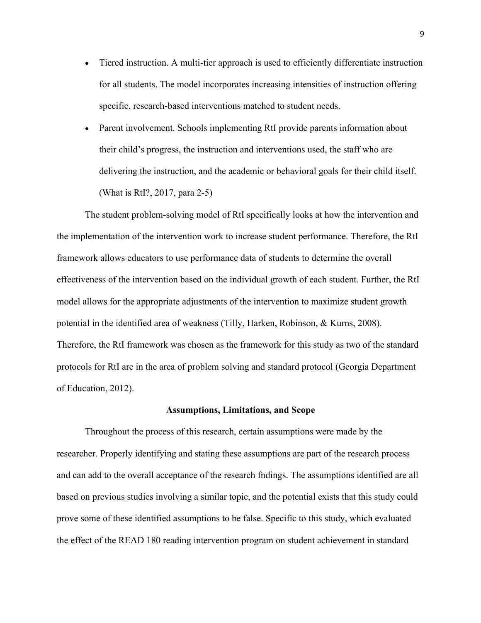- Tiered instruction. A multi-tier approach is used to efficiently differentiate instruction for all students. The model incorporates increasing intensities of instruction offering specific, research-based interventions matched to student needs.
- Parent involvement. Schools implementing RtI provide parents information about their child's progress, the instruction and interventions used, the staff who are delivering the instruction, and the academic or behavioral goals for their child itself. (What is RtI?, 2017, para 2-5)

The student problem-solving model of RtI specifically looks at how the intervention and the implementation of the intervention work to increase student performance. Therefore, the RtI framework allows educators to use performance data of students to determine the overall effectiveness of the intervention based on the individual growth of each student. Further, the RtI model allows for the appropriate adjustments of the intervention to maximize student growth potential in the identified area of weakness (Tilly, Harken, Robinson, & Kurns, 2008). Therefore, the RtI framework was chosen as the framework for this study as two of the standard protocols for RtI are in the area of problem solving and standard protocol (Georgia Department of Education, 2012).

#### **Assumptions, Limitations, and Scope**

Throughout the process of this research, certain assumptions were made by the researcher. Properly identifying and stating these assumptions are part of the research process and can add to the overall acceptance of the research fndings. The assumptions identified are all based on previous studies involving a similar topic, and the potential exists that this study could prove some of these identified assumptions to be false. Specific to this study, which evaluated the effect of the READ 180 reading intervention program on student achievement in standard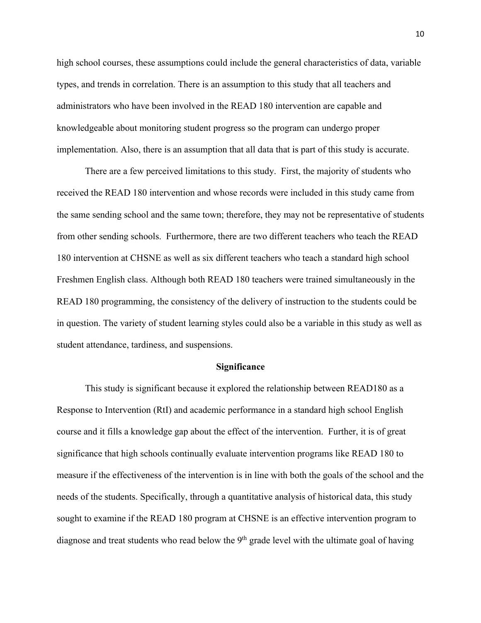high school courses, these assumptions could include the general characteristics of data, variable types, and trends in correlation. There is an assumption to this study that all teachers and administrators who have been involved in the READ 180 intervention are capable and knowledgeable about monitoring student progress so the program can undergo proper implementation. Also, there is an assumption that all data that is part of this study is accurate.

There are a few perceived limitations to this study. First, the majority of students who received the READ 180 intervention and whose records were included in this study came from the same sending school and the same town; therefore, they may not be representative of students from other sending schools. Furthermore, there are two different teachers who teach the READ 180 intervention at CHSNE as well as six different teachers who teach a standard high school Freshmen English class. Although both READ 180 teachers were trained simultaneously in the READ 180 programming, the consistency of the delivery of instruction to the students could be in question. The variety of student learning styles could also be a variable in this study as well as student attendance, tardiness, and suspensions.

#### **Significance**

This study is significant because it explored the relationship between READ180 as a Response to Intervention (RtI) and academic performance in a standard high school English course and it fills a knowledge gap about the effect of the intervention. Further, it is of great significance that high schools continually evaluate intervention programs like READ 180 to measure if the effectiveness of the intervention is in line with both the goals of the school and the needs of the students. Specifically, through a quantitative analysis of historical data, this study sought to examine if the READ 180 program at CHSNE is an effective intervention program to diagnose and treat students who read below the  $9<sup>th</sup>$  grade level with the ultimate goal of having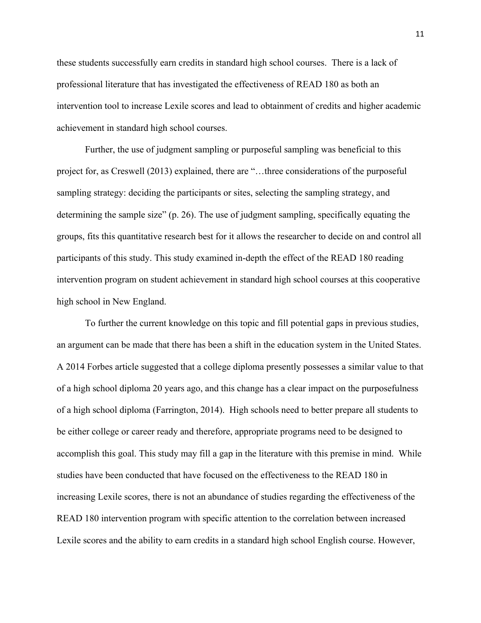these students successfully earn credits in standard high school courses. There is a lack of professional literature that has investigated the effectiveness of READ 180 as both an intervention tool to increase Lexile scores and lead to obtainment of credits and higher academic achievement in standard high school courses.

Further, the use of judgment sampling or purposeful sampling was beneficial to this project for, as Creswell (2013) explained, there are "…three considerations of the purposeful sampling strategy: deciding the participants or sites, selecting the sampling strategy, and determining the sample size" (p. 26). The use of judgment sampling, specifically equating the groups, fits this quantitative research best for it allows the researcher to decide on and control all participants of this study. This study examined in-depth the effect of the READ 180 reading intervention program on student achievement in standard high school courses at this cooperative high school in New England.

To further the current knowledge on this topic and fill potential gaps in previous studies, an argument can be made that there has been a shift in the education system in the United States. A 2014 Forbes article suggested that a college diploma presently possesses a similar value to that of a high school diploma 20 years ago, and this change has a clear impact on the purposefulness of a high school diploma (Farrington, 2014). High schools need to better prepare all students to be either college or career ready and therefore, appropriate programs need to be designed to accomplish this goal. This study may fill a gap in the literature with this premise in mind. While studies have been conducted that have focused on the effectiveness to the READ 180 in increasing Lexile scores, there is not an abundance of studies regarding the effectiveness of the READ 180 intervention program with specific attention to the correlation between increased Lexile scores and the ability to earn credits in a standard high school English course. However,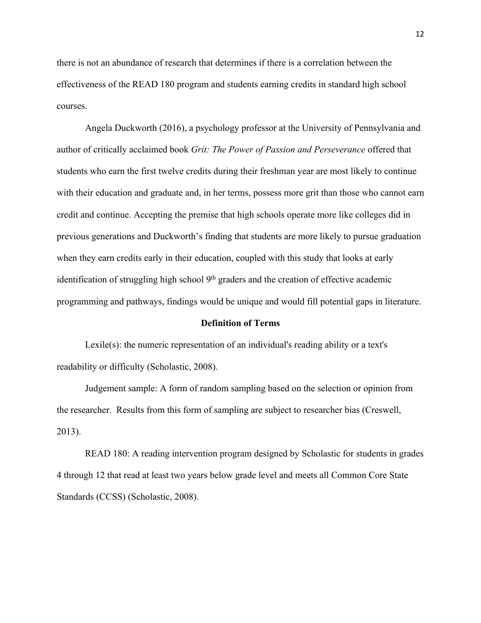there is not an abundance of research that determines if there is a correlation between the effectiveness of the READ 180 program and students earning credits in standard high school courses.

Angela Duckworth (2016), a psychology professor at the University of Pennsylvania and author of critically acclaimed book *Grit: The Power of Passion and Perseverance* offered that students who earn the first twelve credits during their freshman year are most likely to continue with their education and graduate and, in her terms, possess more grit than those who cannot earn credit and continue. Accepting the premise that high schools operate more like colleges did in previous generations and Duckworth's finding that students are more likely to pursue graduation when they earn credits early in their education, coupled with this study that looks at early identification of struggling high school  $9<sup>th</sup>$  graders and the creation of effective academic programming and pathways, findings would be unique and would fill potential gaps in literature.

#### **Definition of Terms**

Lexile(s): the numeric representation of an individual's reading ability or a text's readability or difficulty (Scholastic, 2008).

Judgement sample: A form of random sampling based on the selection or opinion from the researcher. Results from this form of sampling are subject to researcher bias (Creswell, 2013).

READ 180: A reading intervention program designed by Scholastic for students in grades 4 through 12 that read at least two years below grade level and meets all Common Core State Standards (CCSS) (Scholastic, 2008).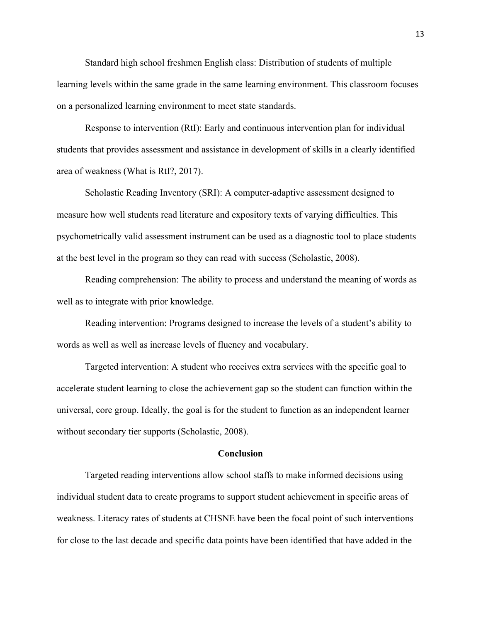Standard high school freshmen English class: Distribution of students of multiple learning levels within the same grade in the same learning environment. This classroom focuses on a personalized learning environment to meet state standards.

Response to intervention (RtI): Early and continuous intervention plan for individual students that provides assessment and assistance in development of skills in a clearly identified area of weakness (What is RtI?, 2017).

Scholastic Reading Inventory (SRI): A computer-adaptive assessment designed to measure how well students read literature and expository texts of varying difficulties. This psychometrically valid assessment instrument can be used as a diagnostic tool to place students at the best level in the program so they can read with success (Scholastic, 2008).

Reading comprehension: The ability to process and understand the meaning of words as well as to integrate with prior knowledge.

Reading intervention: Programs designed to increase the levels of a student's ability to words as well as well as increase levels of fluency and vocabulary.

Targeted intervention: A student who receives extra services with the specific goal to accelerate student learning to close the achievement gap so the student can function within the universal, core group. Ideally, the goal is for the student to function as an independent learner without secondary tier supports (Scholastic, 2008).

#### **Conclusion**

Targeted reading interventions allow school staffs to make informed decisions using individual student data to create programs to support student achievement in specific areas of weakness. Literacy rates of students at CHSNE have been the focal point of such interventions for close to the last decade and specific data points have been identified that have added in the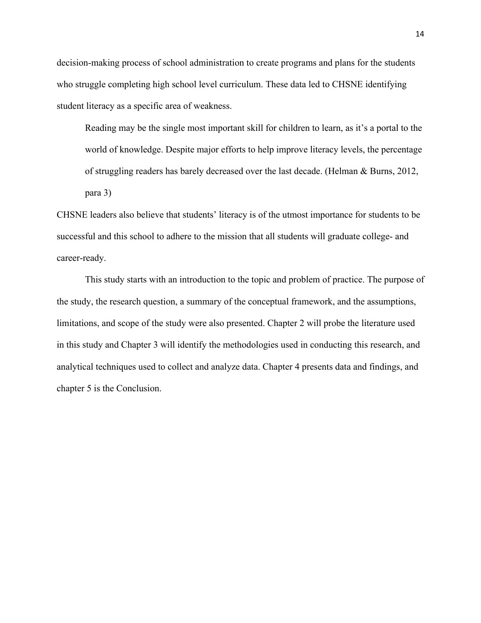decision-making process of school administration to create programs and plans for the students who struggle completing high school level curriculum. These data led to CHSNE identifying student literacy as a specific area of weakness.

Reading may be the single most important skill for children to learn, as it's a portal to the world of knowledge. Despite major efforts to help improve literacy levels, the percentage of struggling readers has barely decreased over the last decade. (Helman & Burns, 2012, para 3)

CHSNE leaders also believe that students' literacy is of the utmost importance for students to be successful and this school to adhere to the mission that all students will graduate college- and career-ready.

This study starts with an introduction to the topic and problem of practice. The purpose of the study, the research question, a summary of the conceptual framework, and the assumptions, limitations, and scope of the study were also presented. Chapter 2 will probe the literature used in this study and Chapter 3 will identify the methodologies used in conducting this research, and analytical techniques used to collect and analyze data. Chapter 4 presents data and findings, and chapter 5 is the Conclusion.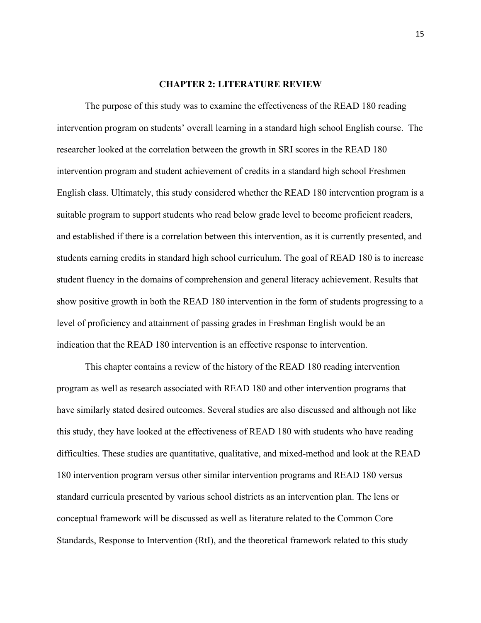## **CHAPTER 2: LITERATURE REVIEW**

The purpose of this study was to examine the effectiveness of the READ 180 reading intervention program on students' overall learning in a standard high school English course. The researcher looked at the correlation between the growth in SRI scores in the READ 180 intervention program and student achievement of credits in a standard high school Freshmen English class. Ultimately, this study considered whether the READ 180 intervention program is a suitable program to support students who read below grade level to become proficient readers, and established if there is a correlation between this intervention, as it is currently presented, and students earning credits in standard high school curriculum. The goal of READ 180 is to increase student fluency in the domains of comprehension and general literacy achievement. Results that show positive growth in both the READ 180 intervention in the form of students progressing to a level of proficiency and attainment of passing grades in Freshman English would be an indication that the READ 180 intervention is an effective response to intervention.

This chapter contains a review of the history of the READ 180 reading intervention program as well as research associated with READ 180 and other intervention programs that have similarly stated desired outcomes. Several studies are also discussed and although not like this study, they have looked at the effectiveness of READ 180 with students who have reading difficulties. These studies are quantitative, qualitative, and mixed-method and look at the READ 180 intervention program versus other similar intervention programs and READ 180 versus standard curricula presented by various school districts as an intervention plan. The lens or conceptual framework will be discussed as well as literature related to the Common Core Standards, Response to Intervention (RtI), and the theoretical framework related to this study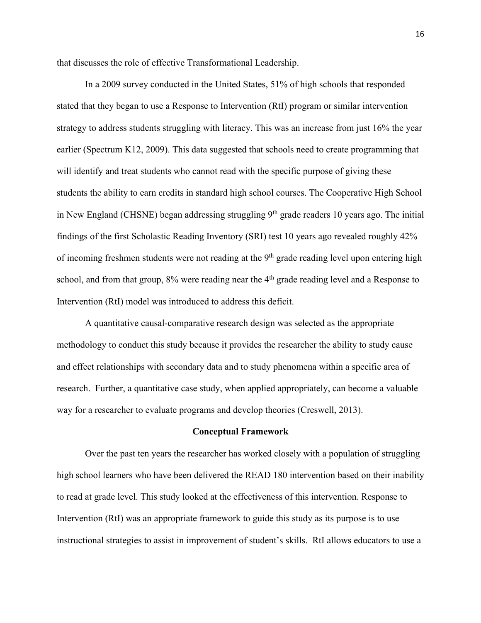that discusses the role of effective Transformational Leadership.

In a 2009 survey conducted in the United States, 51% of high schools that responded stated that they began to use a Response to Intervention (RtI) program or similar intervention strategy to address students struggling with literacy. This was an increase from just 16% the year earlier (Spectrum K12, 2009). This data suggested that schools need to create programming that will identify and treat students who cannot read with the specific purpose of giving these students the ability to earn credits in standard high school courses. The Cooperative High School in New England (CHSNE) began addressing struggling  $9<sup>th</sup>$  grade readers 10 years ago. The initial findings of the first Scholastic Reading Inventory (SRI) test 10 years ago revealed roughly 42% of incoming freshmen students were not reading at the 9<sup>th</sup> grade reading level upon entering high school, and from that group,  $8\%$  were reading near the  $4<sup>th</sup>$  grade reading level and a Response to Intervention (RtI) model was introduced to address this deficit.

A quantitative causal-comparative research design was selected as the appropriate methodology to conduct this study because it provides the researcher the ability to study cause and effect relationships with secondary data and to study phenomena within a specific area of research. Further, a quantitative case study, when applied appropriately, can become a valuable way for a researcher to evaluate programs and develop theories (Creswell, 2013).

#### **Conceptual Framework**

Over the past ten years the researcher has worked closely with a population of struggling high school learners who have been delivered the READ 180 intervention based on their inability to read at grade level. This study looked at the effectiveness of this intervention. Response to Intervention (RtI) was an appropriate framework to guide this study as its purpose is to use instructional strategies to assist in improvement of student's skills. RtI allows educators to use a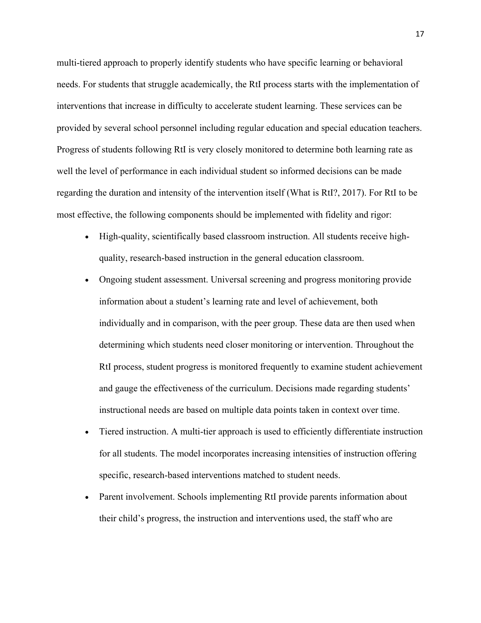multi-tiered approach to properly identify students who have specific learning or behavioral needs. For students that struggle academically, the RtI process starts with the implementation of interventions that increase in difficulty to accelerate student learning. These services can be provided by several school personnel including regular education and special education teachers. Progress of students following RtI is very closely monitored to determine both learning rate as well the level of performance in each individual student so informed decisions can be made regarding the duration and intensity of the intervention itself (What is RtI?, 2017). For RtI to be most effective, the following components should be implemented with fidelity and rigor:

- High-quality, scientifically based classroom instruction. All students receive highquality, research-based instruction in the general education classroom.
- Ongoing student assessment. Universal screening and progress monitoring provide information about a student's learning rate and level of achievement, both individually and in comparison, with the peer group. These data are then used when determining which students need closer monitoring or intervention. Throughout the RtI process, student progress is monitored frequently to examine student achievement and gauge the effectiveness of the curriculum. Decisions made regarding students' instructional needs are based on multiple data points taken in context over time.
- Tiered instruction. A multi-tier approach is used to efficiently differentiate instruction for all students. The model incorporates increasing intensities of instruction offering specific, research-based interventions matched to student needs.
- Parent involvement. Schools implementing RtI provide parents information about their child's progress, the instruction and interventions used, the staff who are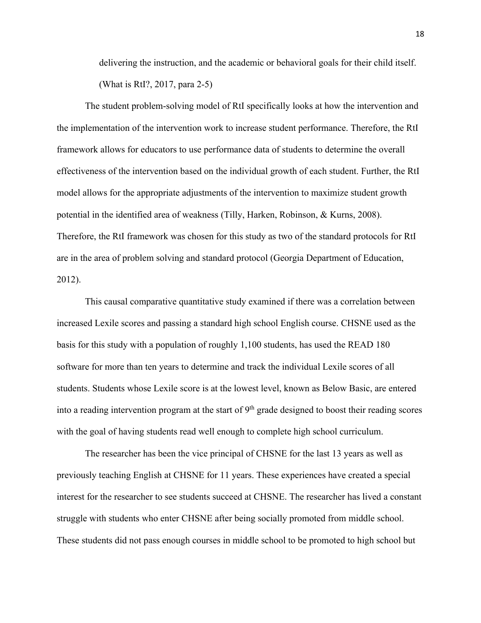delivering the instruction, and the academic or behavioral goals for their child itself. (What is RtI?, 2017, para 2-5)

The student problem-solving model of RtI specifically looks at how the intervention and the implementation of the intervention work to increase student performance. Therefore, the RtI framework allows for educators to use performance data of students to determine the overall effectiveness of the intervention based on the individual growth of each student. Further, the RtI model allows for the appropriate adjustments of the intervention to maximize student growth potential in the identified area of weakness (Tilly, Harken, Robinson, & Kurns, 2008). Therefore, the RtI framework was chosen for this study as two of the standard protocols for RtI are in the area of problem solving and standard protocol (Georgia Department of Education, 2012).

This causal comparative quantitative study examined if there was a correlation between increased Lexile scores and passing a standard high school English course. CHSNE used as the basis for this study with a population of roughly 1,100 students, has used the READ 180 software for more than ten years to determine and track the individual Lexile scores of all students. Students whose Lexile score is at the lowest level, known as Below Basic, are entered into a reading intervention program at the start of  $9<sup>th</sup>$  grade designed to boost their reading scores with the goal of having students read well enough to complete high school curriculum.

The researcher has been the vice principal of CHSNE for the last 13 years as well as previously teaching English at CHSNE for 11 years. These experiences have created a special interest for the researcher to see students succeed at CHSNE. The researcher has lived a constant struggle with students who enter CHSNE after being socially promoted from middle school. These students did not pass enough courses in middle school to be promoted to high school but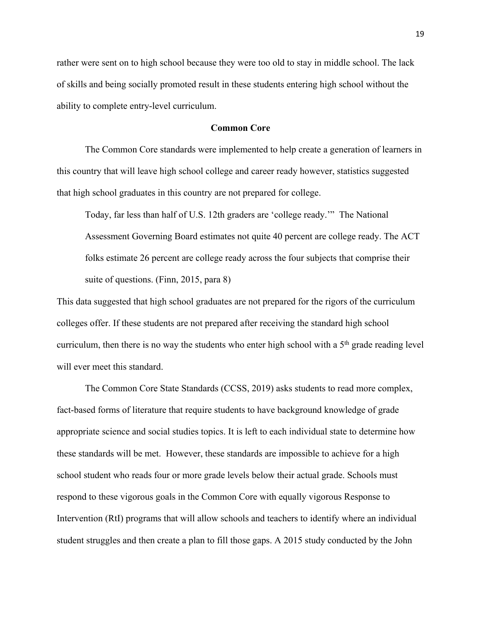rather were sent on to high school because they were too old to stay in middle school. The lack of skills and being socially promoted result in these students entering high school without the ability to complete entry-level curriculum.

# **Common Core**

The Common Core standards were implemented to help create a generation of learners in this country that will leave high school college and career ready however, statistics suggested that high school graduates in this country are not prepared for college.

Today, far less than half of U.S. 12th graders are 'college ready.'" The National Assessment Governing Board estimates not quite 40 percent are college ready. The ACT folks estimate 26 percent are college ready across the four subjects that comprise their suite of questions. (Finn, 2015, para 8)

This data suggested that high school graduates are not prepared for the rigors of the curriculum colleges offer. If these students are not prepared after receiving the standard high school curriculum, then there is no way the students who enter high school with a  $5<sup>th</sup>$  grade reading level will ever meet this standard.

The Common Core State Standards (CCSS, 2019) asks students to read more complex, fact-based forms of literature that require students to have background knowledge of grade appropriate science and social studies topics. It is left to each individual state to determine how these standards will be met. However, these standards are impossible to achieve for a high school student who reads four or more grade levels below their actual grade. Schools must respond to these vigorous goals in the Common Core with equally vigorous Response to Intervention (RtI) programs that will allow schools and teachers to identify where an individual student struggles and then create a plan to fill those gaps. A 2015 study conducted by the John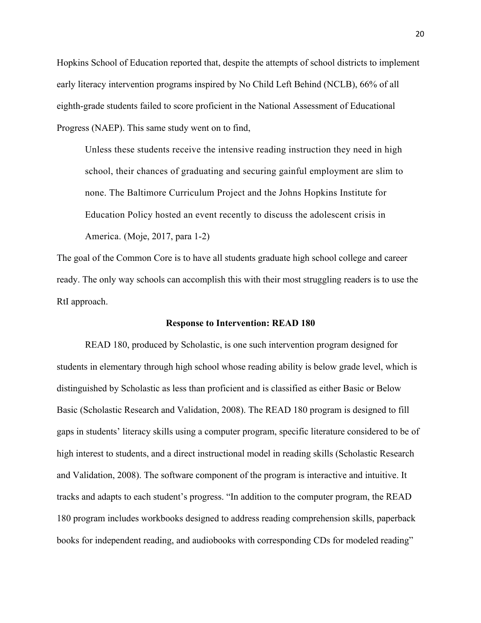Hopkins School of Education reported that, despite the attempts of school districts to implement early literacy intervention programs inspired by No Child Left Behind (NCLB), 66% of all eighth-grade students failed to score proficient in the National Assessment of Educational Progress (NAEP). This same study went on to find,

Unless these students receive the intensive reading instruction they need in high school, their chances of graduating and securing gainful employment are slim to none. The Baltimore Curriculum Project and the Johns Hopkins Institute for Education Policy hosted an event recently to discuss the adolescent crisis in America. (Moje, 2017, para 1-2)

The goal of the Common Core is to have all students graduate high school college and career ready. The only way schools can accomplish this with their most struggling readers is to use the RtI approach.

#### **Response to Intervention: READ 180**

READ 180, produced by Scholastic, is one such intervention program designed for students in elementary through high school whose reading ability is below grade level, which is distinguished by Scholastic as less than proficient and is classified as either Basic or Below Basic (Scholastic Research and Validation, 2008). The READ 180 program is designed to fill gaps in students' literacy skills using a computer program, specific literature considered to be of high interest to students, and a direct instructional model in reading skills (Scholastic Research and Validation, 2008). The software component of the program is interactive and intuitive. It tracks and adapts to each student's progress. "In addition to the computer program, the READ 180 program includes workbooks designed to address reading comprehension skills, paperback books for independent reading, and audiobooks with corresponding CDs for modeled reading"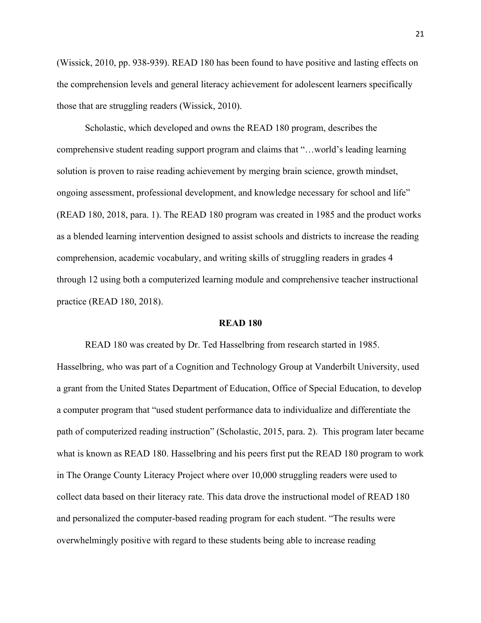(Wissick, 2010, pp. 938-939). READ 180 has been found to have positive and lasting effects on the comprehension levels and general literacy achievement for adolescent learners specifically those that are struggling readers (Wissick, 2010).

Scholastic, which developed and owns the READ 180 program, describes the comprehensive student reading support program and claims that "…world's leading learning solution is proven to raise reading achievement by merging brain science, growth mindset, ongoing assessment, professional development, and knowledge necessary for school and life" (READ 180, 2018, para. 1). The READ 180 program was created in 1985 and the product works as a blended learning intervention designed to assist schools and districts to increase the reading comprehension, academic vocabulary, and writing skills of struggling readers in grades 4 through 12 using both a computerized learning module and comprehensive teacher instructional practice (READ 180, 2018).

#### **READ 180**

READ 180 was created by Dr. Ted Hasselbring from research started in 1985. Hasselbring, who was part of a Cognition and Technology Group at Vanderbilt University, used a grant from the United States Department of Education, Office of Special Education, to develop a computer program that "used student performance data to individualize and differentiate the path of computerized reading instruction" (Scholastic, 2015, para. 2). This program later became what is known as READ 180. Hasselbring and his peers first put the READ 180 program to work in The Orange County Literacy Project where over 10,000 struggling readers were used to collect data based on their literacy rate. This data drove the instructional model of READ 180 and personalized the computer-based reading program for each student. "The results were overwhelmingly positive with regard to these students being able to increase reading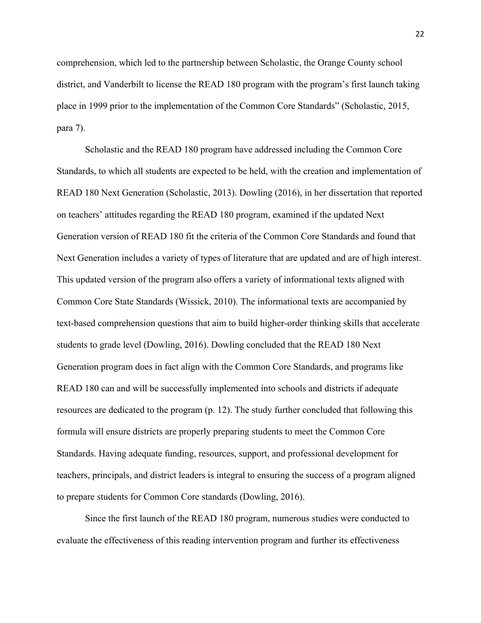comprehension, which led to the partnership between Scholastic, the Orange County school district, and Vanderbilt to license the READ 180 program with the program's first launch taking place in 1999 prior to the implementation of the Common Core Standards" (Scholastic, 2015, para 7).

Scholastic and the READ 180 program have addressed including the Common Core Standards, to which all students are expected to be held, with the creation and implementation of READ 180 Next Generation (Scholastic, 2013). Dowling (2016), in her dissertation that reported on teachers' attitudes regarding the READ 180 program, examined if the updated Next Generation version of READ 180 fit the criteria of the Common Core Standards and found that Next Generation includes a variety of types of literature that are updated and are of high interest. This updated version of the program also offers a variety of informational texts aligned with Common Core State Standards (Wissick, 2010). The informational texts are accompanied by text-based comprehension questions that aim to build higher-order thinking skills that accelerate students to grade level (Dowling, 2016). Dowling concluded that the READ 180 Next Generation program does in fact align with the Common Core Standards, and programs like READ 180 can and will be successfully implemented into schools and districts if adequate resources are dedicated to the program (p. 12). The study further concluded that following this formula will ensure districts are properly preparing students to meet the Common Core Standards. Having adequate funding, resources, support, and professional development for teachers, principals, and district leaders is integral to ensuring the success of a program aligned to prepare students for Common Core standards (Dowling, 2016).

Since the first launch of the READ 180 program, numerous studies were conducted to evaluate the effectiveness of this reading intervention program and further its effectiveness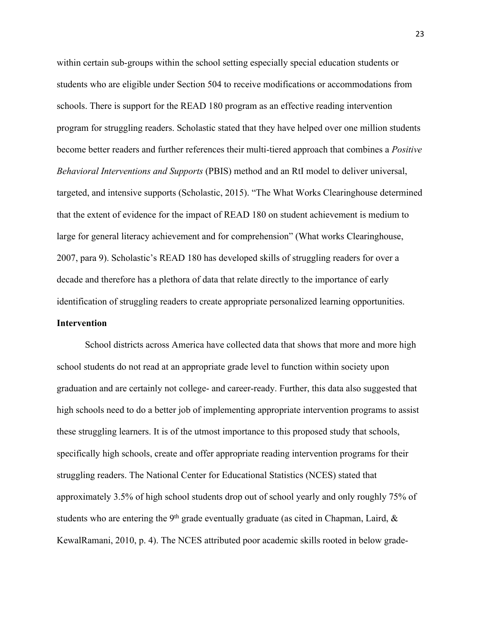within certain sub-groups within the school setting especially special education students or students who are eligible under Section 504 to receive modifications or accommodations from schools. There is support for the READ 180 program as an effective reading intervention program for struggling readers. Scholastic stated that they have helped over one million students become better readers and further references their multi-tiered approach that combines a *Positive Behavioral Interventions and Supports* (PBIS) method and an RtI model to deliver universal, targeted, and intensive supports (Scholastic, 2015). "The What Works Clearinghouse determined that the extent of evidence for the impact of READ 180 on student achievement is medium to large for general literacy achievement and for comprehension" (What works Clearinghouse, 2007, para 9). Scholastic's READ 180 has developed skills of struggling readers for over a decade and therefore has a plethora of data that relate directly to the importance of early identification of struggling readers to create appropriate personalized learning opportunities. **Intervention**

School districts across America have collected data that shows that more and more high school students do not read at an appropriate grade level to function within society upon graduation and are certainly not college- and career-ready. Further, this data also suggested that high schools need to do a better job of implementing appropriate intervention programs to assist these struggling learners. It is of the utmost importance to this proposed study that schools, specifically high schools, create and offer appropriate reading intervention programs for their struggling readers. The National Center for Educational Statistics (NCES) stated that approximately 3.5% of high school students drop out of school yearly and only roughly 75% of students who are entering the 9<sup>th</sup> grade eventually graduate (as cited in Chapman, Laird,  $\&$ KewalRamani, 2010, p. 4). The NCES attributed poor academic skills rooted in below grade-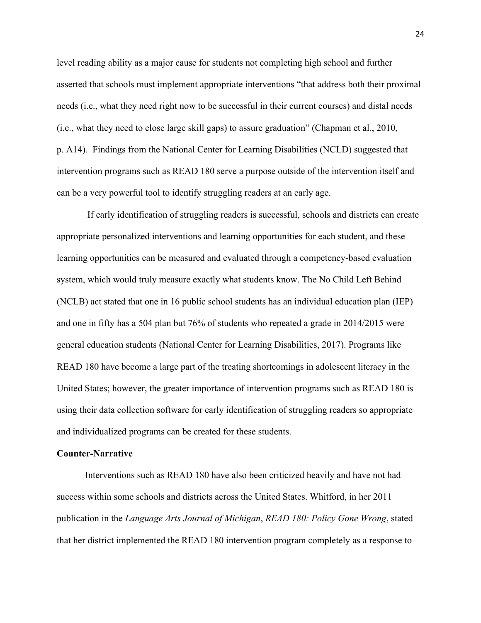level reading ability as a major cause for students not completing high school and further asserted that schools must implement appropriate interventions "that address both their proximal needs (i.e., what they need right now to be successful in their current courses) and distal needs (i.e., what they need to close large skill gaps) to assure graduation" (Chapman et al., 2010, p. A14). Findings from the National Center for Learning Disabilities (NCLD) suggested that intervention programs such as READ 180 serve a purpose outside of the intervention itself and can be a very powerful tool to identify struggling readers at an early age.

If early identification of struggling readers is successful, schools and districts can create appropriate personalized interventions and learning opportunities for each student, and these learning opportunities can be measured and evaluated through a competency-based evaluation system, which would truly measure exactly what students know. The No Child Left Behind (NCLB) act stated that one in 16 public school students has an individual education plan (IEP) and one in fifty has a 504 plan but 76% of students who repeated a grade in 2014/2015 were general education students (National Center for Learning Disabilities, 2017). Programs like READ 180 have become a large part of the treating shortcomings in adolescent literacy in the United States; however, the greater importance of intervention programs such as READ 180 is using their data collection software for early identification of struggling readers so appropriate and individualized programs can be created for these students.

#### **Counter-Narrative**

Interventions such as READ 180 have also been criticized heavily and have not had success within some schools and districts across the United States. Whitford, in her 2011 publication in the *Language Arts Journal of Michigan*, *READ 180: Policy Gone Wrong*, stated that her district implemented the READ 180 intervention program completely as a response to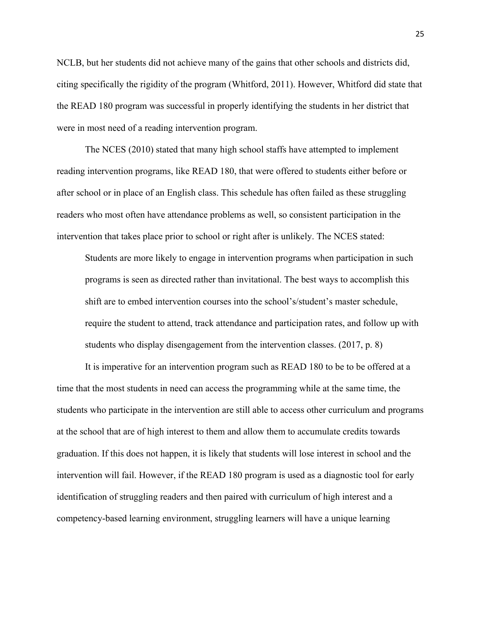NCLB, but her students did not achieve many of the gains that other schools and districts did, citing specifically the rigidity of the program (Whitford, 2011). However, Whitford did state that the READ 180 program was successful in properly identifying the students in her district that were in most need of a reading intervention program.

The NCES (2010) stated that many high school staffs have attempted to implement reading intervention programs, like READ 180, that were offered to students either before or after school or in place of an English class. This schedule has often failed as these struggling readers who most often have attendance problems as well, so consistent participation in the intervention that takes place prior to school or right after is unlikely. The NCES stated:

Students are more likely to engage in intervention programs when participation in such programs is seen as directed rather than invitational. The best ways to accomplish this shift are to embed intervention courses into the school's/student's master schedule, require the student to attend, track attendance and participation rates, and follow up with students who display disengagement from the intervention classes. (2017, p. 8)

It is imperative for an intervention program such as READ 180 to be to be offered at a time that the most students in need can access the programming while at the same time, the students who participate in the intervention are still able to access other curriculum and programs at the school that are of high interest to them and allow them to accumulate credits towards graduation. If this does not happen, it is likely that students will lose interest in school and the intervention will fail. However, if the READ 180 program is used as a diagnostic tool for early identification of struggling readers and then paired with curriculum of high interest and a competency-based learning environment, struggling learners will have a unique learning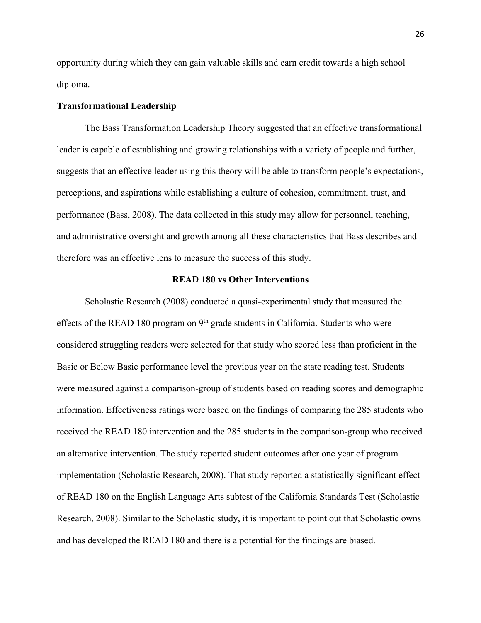opportunity during which they can gain valuable skills and earn credit towards a high school diploma.

## **Transformational Leadership**

The Bass Transformation Leadership Theory suggested that an effective transformational leader is capable of establishing and growing relationships with a variety of people and further, suggests that an effective leader using this theory will be able to transform people's expectations, perceptions, and aspirations while establishing a culture of cohesion, commitment, trust, and performance (Bass, 2008). The data collected in this study may allow for personnel, teaching, and administrative oversight and growth among all these characteristics that Bass describes and therefore was an effective lens to measure the success of this study.

## **READ 180 vs Other Interventions**

Scholastic Research (2008) conducted a quasi-experimental study that measured the effects of the READ 180 program on  $9<sup>th</sup>$  grade students in California. Students who were considered struggling readers were selected for that study who scored less than proficient in the Basic or Below Basic performance level the previous year on the state reading test. Students were measured against a comparison-group of students based on reading scores and demographic information. Effectiveness ratings were based on the findings of comparing the 285 students who received the READ 180 intervention and the 285 students in the comparison-group who received an alternative intervention. The study reported student outcomes after one year of program implementation (Scholastic Research, 2008). That study reported a statistically significant effect of READ 180 on the English Language Arts subtest of the California Standards Test (Scholastic Research, 2008). Similar to the Scholastic study, it is important to point out that Scholastic owns and has developed the READ 180 and there is a potential for the findings are biased.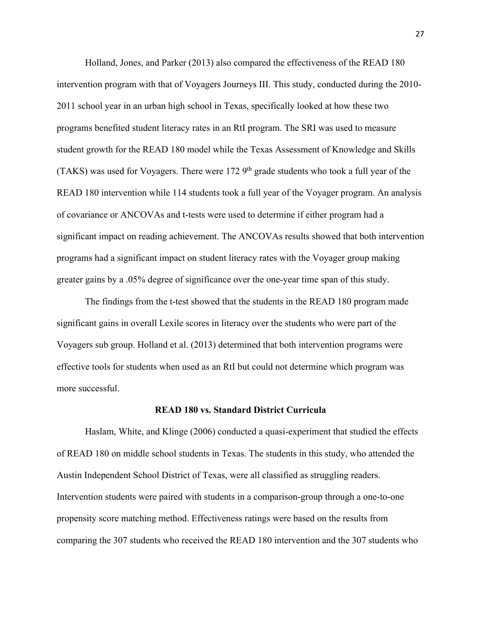Holland, Jones, and Parker (2013) also compared the effectiveness of the READ 180 intervention program with that of Voyagers Journeys III. This study, conducted during the 2010- 2011 school year in an urban high school in Texas, specifically looked at how these two programs benefited student literacy rates in an RtI program. The SRI was used to measure student growth for the READ 180 model while the Texas Assessment of Knowledge and Skills (TAKS) was used for Voyagers. There were  $172.9<sup>th</sup>$  grade students who took a full year of the READ 180 intervention while 114 students took a full year of the Voyager program. An analysis of covariance or ANCOVAs and t-tests were used to determine if either program had a significant impact on reading achievement. The ANCOVAs results showed that both intervention programs had a significant impact on student literacy rates with the Voyager group making greater gains by a .05% degree of significance over the one-year time span of this study.

The findings from the t-test showed that the students in the READ 180 program made significant gains in overall Lexile scores in literacy over the students who were part of the Voyagers sub group. Holland et al. (2013) determined that both intervention programs were effective tools for students when used as an RtI but could not determine which program was more successful.

# **READ 180 vs. Standard District Curricula**

Haslam, White, and Klinge (2006) conducted a quasi-experiment that studied the effects of READ 180 on middle school students in Texas. The students in this study, who attended the Austin Independent School District of Texas, were all classified as struggling readers. Intervention students were paired with students in a comparison-group through a one-to-one propensity score matching method. Effectiveness ratings were based on the results from comparing the 307 students who received the READ 180 intervention and the 307 students who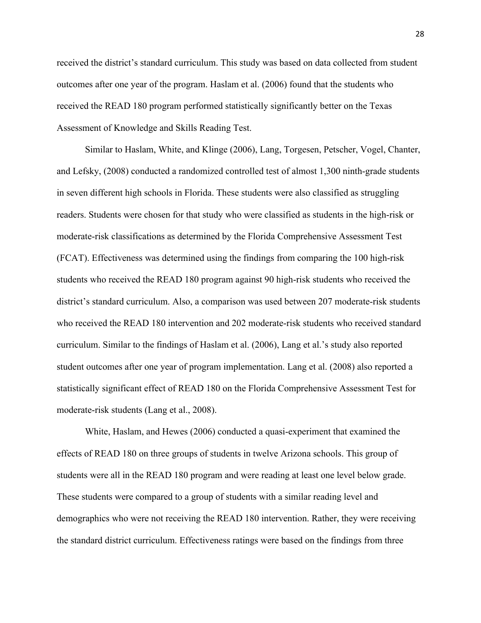received the district's standard curriculum. This study was based on data collected from student outcomes after one year of the program. Haslam et al. (2006) found that the students who received the READ 180 program performed statistically significantly better on the Texas Assessment of Knowledge and Skills Reading Test.

Similar to Haslam, White, and Klinge (2006), Lang, Torgesen, Petscher, Vogel, Chanter, and Lefsky, (2008) conducted a randomized controlled test of almost 1,300 ninth-grade students in seven different high schools in Florida. These students were also classified as struggling readers. Students were chosen for that study who were classified as students in the high-risk or moderate-risk classifications as determined by the Florida Comprehensive Assessment Test (FCAT). Effectiveness was determined using the findings from comparing the 100 high-risk students who received the READ 180 program against 90 high-risk students who received the district's standard curriculum. Also, a comparison was used between 207 moderate-risk students who received the READ 180 intervention and 202 moderate-risk students who received standard curriculum. Similar to the findings of Haslam et al. (2006), Lang et al.'s study also reported student outcomes after one year of program implementation. Lang et al. (2008) also reported a statistically significant effect of READ 180 on the Florida Comprehensive Assessment Test for moderate-risk students (Lang et al., 2008).

White, Haslam, and Hewes (2006) conducted a quasi-experiment that examined the effects of READ 180 on three groups of students in twelve Arizona schools. This group of students were all in the READ 180 program and were reading at least one level below grade. These students were compared to a group of students with a similar reading level and demographics who were not receiving the READ 180 intervention. Rather, they were receiving the standard district curriculum. Effectiveness ratings were based on the findings from three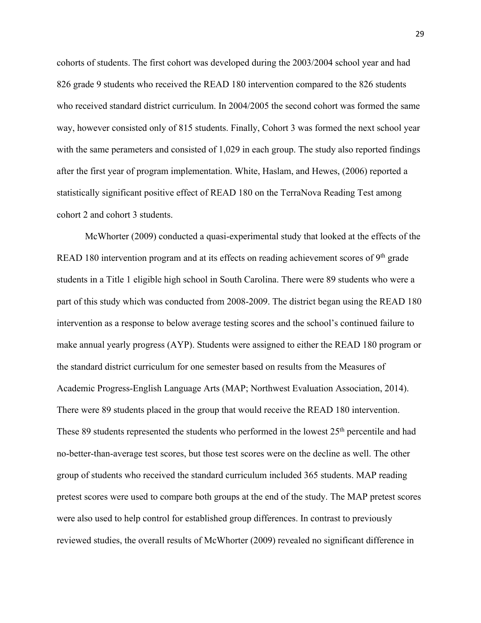cohorts of students. The first cohort was developed during the 2003/2004 school year and had 826 grade 9 students who received the READ 180 intervention compared to the 826 students who received standard district curriculum. In 2004/2005 the second cohort was formed the same way, however consisted only of 815 students. Finally, Cohort 3 was formed the next school year with the same perameters and consisted of 1,029 in each group. The study also reported findings after the first year of program implementation. White, Haslam, and Hewes, (2006) reported a statistically significant positive effect of READ 180 on the TerraNova Reading Test among cohort 2 and cohort 3 students.

McWhorter (2009) conducted a quasi-experimental study that looked at the effects of the READ 180 intervention program and at its effects on reading achievement scores of  $9<sup>th</sup>$  grade students in a Title 1 eligible high school in South Carolina. There were 89 students who were a part of this study which was conducted from 2008-2009. The district began using the READ 180 intervention as a response to below average testing scores and the school's continued failure to make annual yearly progress (AYP). Students were assigned to either the READ 180 program or the standard district curriculum for one semester based on results from the Measures of Academic Progress-English Language Arts (MAP; Northwest Evaluation Association, 2014). There were 89 students placed in the group that would receive the READ 180 intervention. These 89 students represented the students who performed in the lowest 25<sup>th</sup> percentile and had no-better-than-average test scores, but those test scores were on the decline as well. The other group of students who received the standard curriculum included 365 students. MAP reading pretest scores were used to compare both groups at the end of the study. The MAP pretest scores were also used to help control for established group differences. In contrast to previously reviewed studies, the overall results of McWhorter (2009) revealed no significant difference in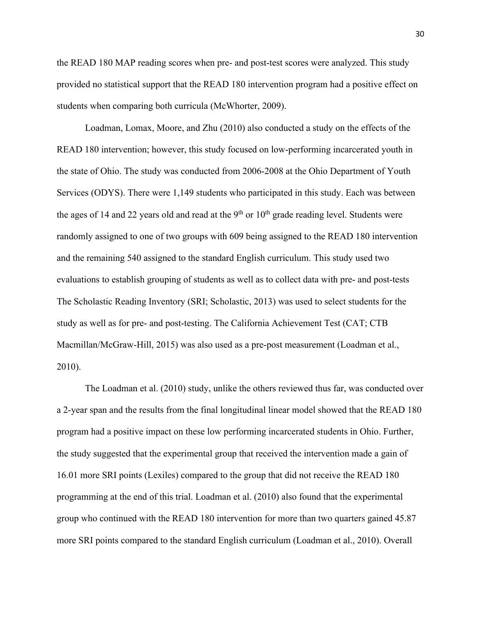the READ 180 MAP reading scores when pre- and post-test scores were analyzed. This study provided no statistical support that the READ 180 intervention program had a positive effect on students when comparing both curricula (McWhorter, 2009).

Loadman, Lomax, Moore, and Zhu (2010) also conducted a study on the effects of the READ 180 intervention; however, this study focused on low-performing incarcerated youth in the state of Ohio. The study was conducted from 2006-2008 at the Ohio Department of Youth Services (ODYS). There were 1,149 students who participated in this study. Each was between the ages of 14 and 22 years old and read at the 9<sup>th</sup> or  $10<sup>th</sup>$  grade reading level. Students were randomly assigned to one of two groups with 609 being assigned to the READ 180 intervention and the remaining 540 assigned to the standard English curriculum. This study used two evaluations to establish grouping of students as well as to collect data with pre- and post-tests The Scholastic Reading Inventory (SRI; Scholastic, 2013) was used to select students for the study as well as for pre- and post-testing. The California Achievement Test (CAT; CTB Macmillan/McGraw-Hill, 2015) was also used as a pre-post measurement (Loadman et al., 2010).

The Loadman et al. (2010) study, unlike the others reviewed thus far, was conducted over a 2-year span and the results from the final longitudinal linear model showed that the READ 180 program had a positive impact on these low performing incarcerated students in Ohio. Further, the study suggested that the experimental group that received the intervention made a gain of 16.01 more SRI points (Lexiles) compared to the group that did not receive the READ 180 programming at the end of this trial. Loadman et al. (2010) also found that the experimental group who continued with the READ 180 intervention for more than two quarters gained 45.87 more SRI points compared to the standard English curriculum (Loadman et al., 2010). Overall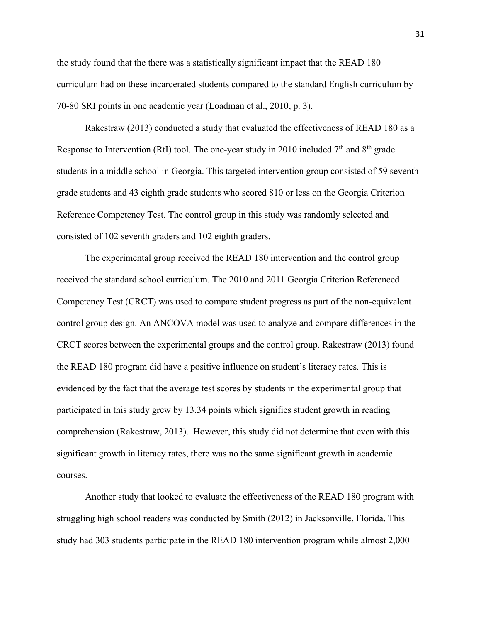the study found that the there was a statistically significant impact that the READ 180 curriculum had on these incarcerated students compared to the standard English curriculum by 70-80 SRI points in one academic year (Loadman et al., 2010, p. 3).

Rakestraw (2013) conducted a study that evaluated the effectiveness of READ 180 as a Response to Intervention (RtI) tool. The one-year study in 2010 included  $7<sup>th</sup>$  and  $8<sup>th</sup>$  grade students in a middle school in Georgia. This targeted intervention group consisted of 59 seventh grade students and 43 eighth grade students who scored 810 or less on the Georgia Criterion Reference Competency Test. The control group in this study was randomly selected and consisted of 102 seventh graders and 102 eighth graders.

The experimental group received the READ 180 intervention and the control group received the standard school curriculum. The 2010 and 2011 Georgia Criterion Referenced Competency Test (CRCT) was used to compare student progress as part of the non-equivalent control group design. An ANCOVA model was used to analyze and compare differences in the CRCT scores between the experimental groups and the control group. Rakestraw (2013) found the READ 180 program did have a positive influence on student's literacy rates. This is evidenced by the fact that the average test scores by students in the experimental group that participated in this study grew by 13.34 points which signifies student growth in reading comprehension (Rakestraw, 2013). However, this study did not determine that even with this significant growth in literacy rates, there was no the same significant growth in academic courses.

Another study that looked to evaluate the effectiveness of the READ 180 program with struggling high school readers was conducted by Smith (2012) in Jacksonville, Florida. This study had 303 students participate in the READ 180 intervention program while almost 2,000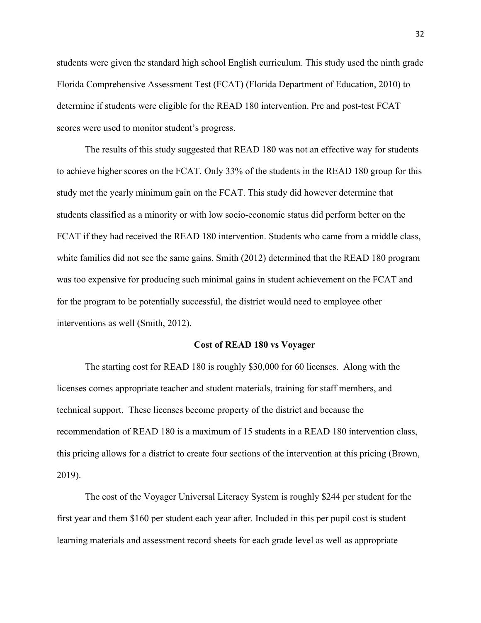students were given the standard high school English curriculum. This study used the ninth grade Florida Comprehensive Assessment Test (FCAT) (Florida Department of Education, 2010) to determine if students were eligible for the READ 180 intervention. Pre and post-test FCAT scores were used to monitor student's progress.

The results of this study suggested that READ 180 was not an effective way for students to achieve higher scores on the FCAT. Only 33% of the students in the READ 180 group for this study met the yearly minimum gain on the FCAT. This study did however determine that students classified as a minority or with low socio-economic status did perform better on the FCAT if they had received the READ 180 intervention. Students who came from a middle class, white families did not see the same gains. Smith (2012) determined that the READ 180 program was too expensive for producing such minimal gains in student achievement on the FCAT and for the program to be potentially successful, the district would need to employee other interventions as well (Smith, 2012).

#### **Cost of READ 180 vs Voyager**

The starting cost for READ 180 is roughly \$30,000 for 60 licenses. Along with the licenses comes appropriate teacher and student materials, training for staff members, and technical support. These licenses become property of the district and because the recommendation of READ 180 is a maximum of 15 students in a READ 180 intervention class, this pricing allows for a district to create four sections of the intervention at this pricing (Brown, 2019).

The cost of the Voyager Universal Literacy System is roughly \$244 per student for the first year and them \$160 per student each year after. Included in this per pupil cost is student learning materials and assessment record sheets for each grade level as well as appropriate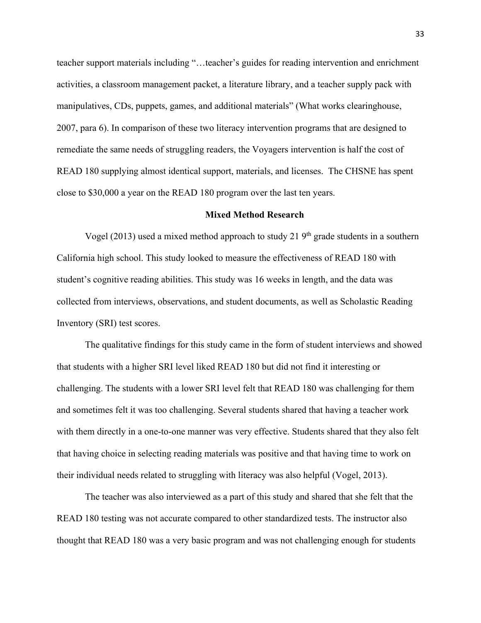teacher support materials including "…teacher's guides for reading intervention and enrichment activities, a classroom management packet, a literature library, and a teacher supply pack with manipulatives, CDs, puppets, games, and additional materials" (What works clearinghouse, 2007, para 6). In comparison of these two literacy intervention programs that are designed to remediate the same needs of struggling readers, the Voyagers intervention is half the cost of READ 180 supplying almost identical support, materials, and licenses. The CHSNE has spent close to \$30,000 a year on the READ 180 program over the last ten years.

## **Mixed Method Research**

Vogel (2013) used a mixed method approach to study 21  $9<sup>th</sup>$  grade students in a southern California high school. This study looked to measure the effectiveness of READ 180 with student's cognitive reading abilities. This study was 16 weeks in length, and the data was collected from interviews, observations, and student documents, as well as Scholastic Reading Inventory (SRI) test scores.

The qualitative findings for this study came in the form of student interviews and showed that students with a higher SRI level liked READ 180 but did not find it interesting or challenging. The students with a lower SRI level felt that READ 180 was challenging for them and sometimes felt it was too challenging. Several students shared that having a teacher work with them directly in a one-to-one manner was very effective. Students shared that they also felt that having choice in selecting reading materials was positive and that having time to work on their individual needs related to struggling with literacy was also helpful (Vogel, 2013).

The teacher was also interviewed as a part of this study and shared that she felt that the READ 180 testing was not accurate compared to other standardized tests. The instructor also thought that READ 180 was a very basic program and was not challenging enough for students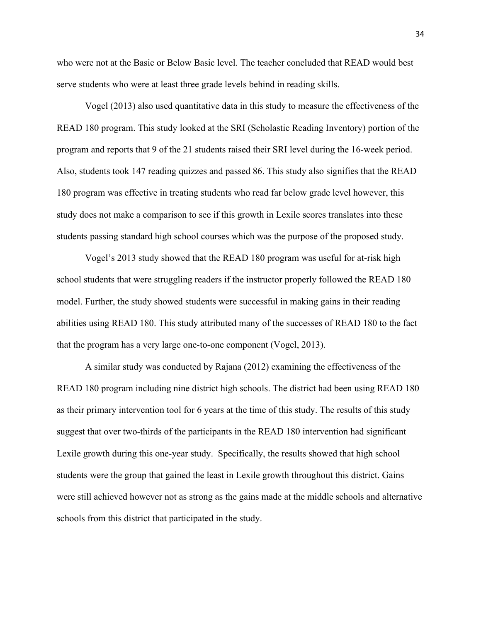who were not at the Basic or Below Basic level. The teacher concluded that READ would best serve students who were at least three grade levels behind in reading skills.

Vogel (2013) also used quantitative data in this study to measure the effectiveness of the READ 180 program. This study looked at the SRI (Scholastic Reading Inventory) portion of the program and reports that 9 of the 21 students raised their SRI level during the 16-week period. Also, students took 147 reading quizzes and passed 86. This study also signifies that the READ 180 program was effective in treating students who read far below grade level however, this study does not make a comparison to see if this growth in Lexile scores translates into these students passing standard high school courses which was the purpose of the proposed study.

Vogel's 2013 study showed that the READ 180 program was useful for at-risk high school students that were struggling readers if the instructor properly followed the READ 180 model. Further, the study showed students were successful in making gains in their reading abilities using READ 180. This study attributed many of the successes of READ 180 to the fact that the program has a very large one-to-one component (Vogel, 2013).

A similar study was conducted by Rajana (2012) examining the effectiveness of the READ 180 program including nine district high schools. The district had been using READ 180 as their primary intervention tool for 6 years at the time of this study. The results of this study suggest that over two-thirds of the participants in the READ 180 intervention had significant Lexile growth during this one-year study. Specifically, the results showed that high school students were the group that gained the least in Lexile growth throughout this district. Gains were still achieved however not as strong as the gains made at the middle schools and alternative schools from this district that participated in the study.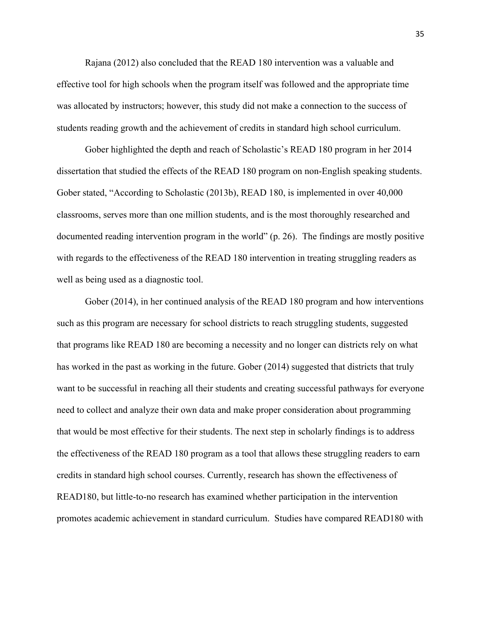Rajana (2012) also concluded that the READ 180 intervention was a valuable and effective tool for high schools when the program itself was followed and the appropriate time was allocated by instructors; however, this study did not make a connection to the success of students reading growth and the achievement of credits in standard high school curriculum.

Gober highlighted the depth and reach of Scholastic's READ 180 program in her 2014 dissertation that studied the effects of the READ 180 program on non-English speaking students. Gober stated, "According to Scholastic (2013b), READ 180, is implemented in over 40,000 classrooms, serves more than one million students, and is the most thoroughly researched and documented reading intervention program in the world" (p. 26). The findings are mostly positive with regards to the effectiveness of the READ 180 intervention in treating struggling readers as well as being used as a diagnostic tool.

Gober (2014), in her continued analysis of the READ 180 program and how interventions such as this program are necessary for school districts to reach struggling students, suggested that programs like READ 180 are becoming a necessity and no longer can districts rely on what has worked in the past as working in the future. Gober (2014) suggested that districts that truly want to be successful in reaching all their students and creating successful pathways for everyone need to collect and analyze their own data and make proper consideration about programming that would be most effective for their students. The next step in scholarly findings is to address the effectiveness of the READ 180 program as a tool that allows these struggling readers to earn credits in standard high school courses. Currently, research has shown the effectiveness of READ180, but little-to-no research has examined whether participation in the intervention promotes academic achievement in standard curriculum. Studies have compared READ180 with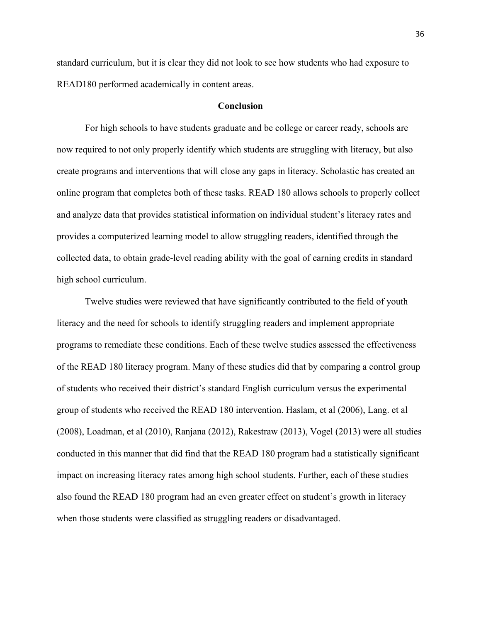standard curriculum, but it is clear they did not look to see how students who had exposure to READ180 performed academically in content areas.

# **Conclusion**

For high schools to have students graduate and be college or career ready, schools are now required to not only properly identify which students are struggling with literacy, but also create programs and interventions that will close any gaps in literacy. Scholastic has created an online program that completes both of these tasks. READ 180 allows schools to properly collect and analyze data that provides statistical information on individual student's literacy rates and provides a computerized learning model to allow struggling readers, identified through the collected data, to obtain grade-level reading ability with the goal of earning credits in standard high school curriculum.

Twelve studies were reviewed that have significantly contributed to the field of youth literacy and the need for schools to identify struggling readers and implement appropriate programs to remediate these conditions. Each of these twelve studies assessed the effectiveness of the READ 180 literacy program. Many of these studies did that by comparing a control group of students who received their district's standard English curriculum versus the experimental group of students who received the READ 180 intervention. Haslam, et al (2006), Lang. et al (2008), Loadman, et al (2010), Ranjana (2012), Rakestraw (2013), Vogel (2013) were all studies conducted in this manner that did find that the READ 180 program had a statistically significant impact on increasing literacy rates among high school students. Further, each of these studies also found the READ 180 program had an even greater effect on student's growth in literacy when those students were classified as struggling readers or disadvantaged.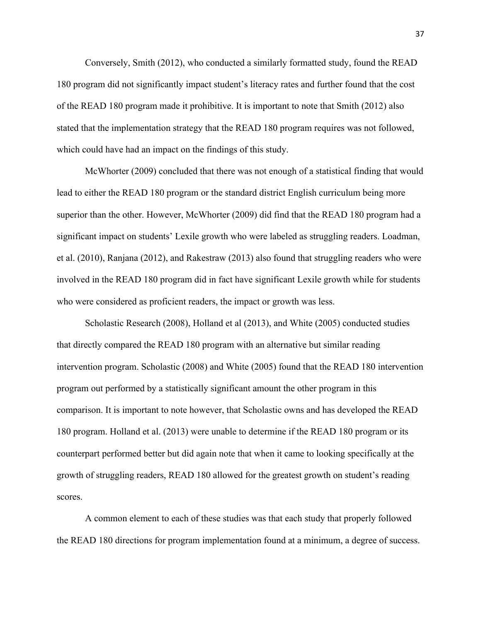Conversely, Smith (2012), who conducted a similarly formatted study, found the READ 180 program did not significantly impact student's literacy rates and further found that the cost of the READ 180 program made it prohibitive. It is important to note that Smith (2012) also stated that the implementation strategy that the READ 180 program requires was not followed, which could have had an impact on the findings of this study.

McWhorter (2009) concluded that there was not enough of a statistical finding that would lead to either the READ 180 program or the standard district English curriculum being more superior than the other. However, McWhorter (2009) did find that the READ 180 program had a significant impact on students' Lexile growth who were labeled as struggling readers. Loadman, et al. (2010), Ranjana (2012), and Rakestraw (2013) also found that struggling readers who were involved in the READ 180 program did in fact have significant Lexile growth while for students who were considered as proficient readers, the impact or growth was less.

Scholastic Research (2008), Holland et al (2013), and White (2005) conducted studies that directly compared the READ 180 program with an alternative but similar reading intervention program. Scholastic (2008) and White (2005) found that the READ 180 intervention program out performed by a statistically significant amount the other program in this comparison. It is important to note however, that Scholastic owns and has developed the READ 180 program. Holland et al. (2013) were unable to determine if the READ 180 program or its counterpart performed better but did again note that when it came to looking specifically at the growth of struggling readers, READ 180 allowed for the greatest growth on student's reading scores.

A common element to each of these studies was that each study that properly followed the READ 180 directions for program implementation found at a minimum, a degree of success.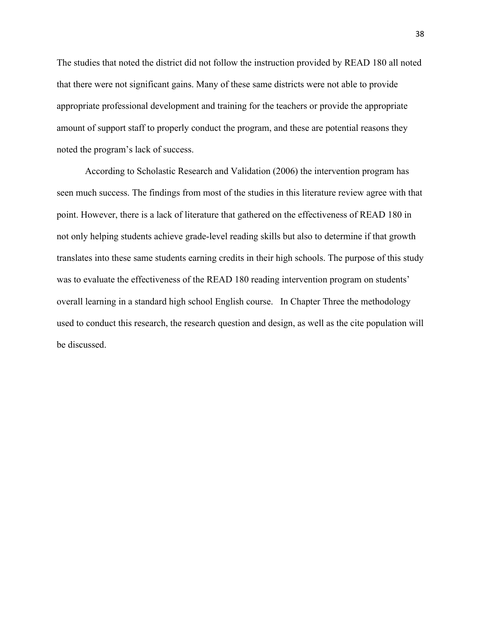The studies that noted the district did not follow the instruction provided by READ 180 all noted that there were not significant gains. Many of these same districts were not able to provide appropriate professional development and training for the teachers or provide the appropriate amount of support staff to properly conduct the program, and these are potential reasons they noted the program's lack of success.

According to Scholastic Research and Validation (2006) the intervention program has seen much success. The findings from most of the studies in this literature review agree with that point. However, there is a lack of literature that gathered on the effectiveness of READ 180 in not only helping students achieve grade-level reading skills but also to determine if that growth translates into these same students earning credits in their high schools. The purpose of this study was to evaluate the effectiveness of the READ 180 reading intervention program on students' overall learning in a standard high school English course. In Chapter Three the methodology used to conduct this research, the research question and design, as well as the cite population will be discussed.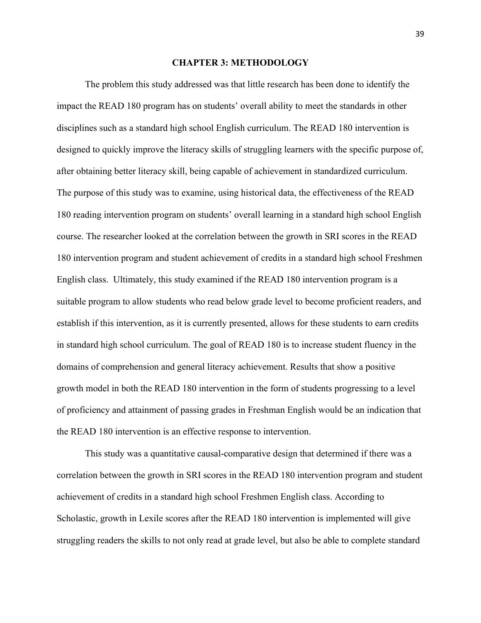# **CHAPTER 3: METHODOLOGY**

The problem this study addressed was that little research has been done to identify the impact the READ 180 program has on students' overall ability to meet the standards in other disciplines such as a standard high school English curriculum. The READ 180 intervention is designed to quickly improve the literacy skills of struggling learners with the specific purpose of, after obtaining better literacy skill, being capable of achievement in standardized curriculum. The purpose of this study was to examine, using historical data, the effectiveness of the READ 180 reading intervention program on students' overall learning in a standard high school English course. The researcher looked at the correlation between the growth in SRI scores in the READ 180 intervention program and student achievement of credits in a standard high school Freshmen English class. Ultimately, this study examined if the READ 180 intervention program is a suitable program to allow students who read below grade level to become proficient readers, and establish if this intervention, as it is currently presented, allows for these students to earn credits in standard high school curriculum. The goal of READ 180 is to increase student fluency in the domains of comprehension and general literacy achievement. Results that show a positive growth model in both the READ 180 intervention in the form of students progressing to a level of proficiency and attainment of passing grades in Freshman English would be an indication that the READ 180 intervention is an effective response to intervention.

This study was a quantitative causal-comparative design that determined if there was a correlation between the growth in SRI scores in the READ 180 intervention program and student achievement of credits in a standard high school Freshmen English class. According to Scholastic, growth in Lexile scores after the READ 180 intervention is implemented will give struggling readers the skills to not only read at grade level, but also be able to complete standard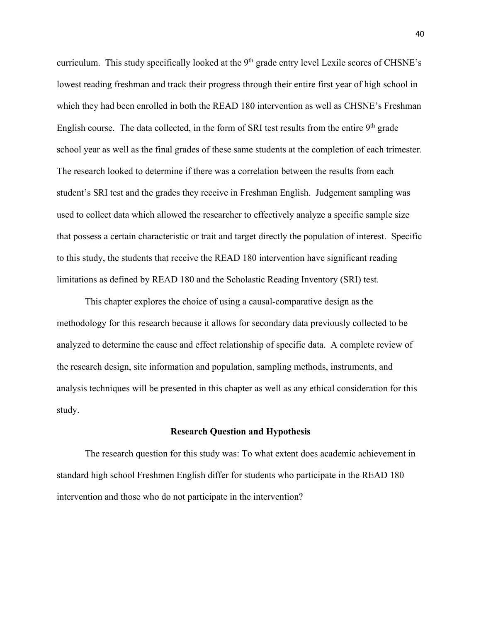curriculum. This study specifically looked at the 9<sup>th</sup> grade entry level Lexile scores of CHSNE's lowest reading freshman and track their progress through their entire first year of high school in which they had been enrolled in both the READ 180 intervention as well as CHSNE's Freshman English course. The data collected, in the form of SRI test results from the entire  $9<sup>th</sup>$  grade school year as well as the final grades of these same students at the completion of each trimester. The research looked to determine if there was a correlation between the results from each student's SRI test and the grades they receive in Freshman English. Judgement sampling was used to collect data which allowed the researcher to effectively analyze a specific sample size that possess a certain characteristic or trait and target directly the population of interest. Specific to this study, the students that receive the READ 180 intervention have significant reading limitations as defined by READ 180 and the Scholastic Reading Inventory (SRI) test.

This chapter explores the choice of using a causal-comparative design as the methodology for this research because it allows for secondary data previously collected to be analyzed to determine the cause and effect relationship of specific data. A complete review of the research design, site information and population, sampling methods, instruments, and analysis techniques will be presented in this chapter as well as any ethical consideration for this study.

#### **Research Question and Hypothesis**

The research question for this study was: To what extent does academic achievement in standard high school Freshmen English differ for students who participate in the READ 180 intervention and those who do not participate in the intervention?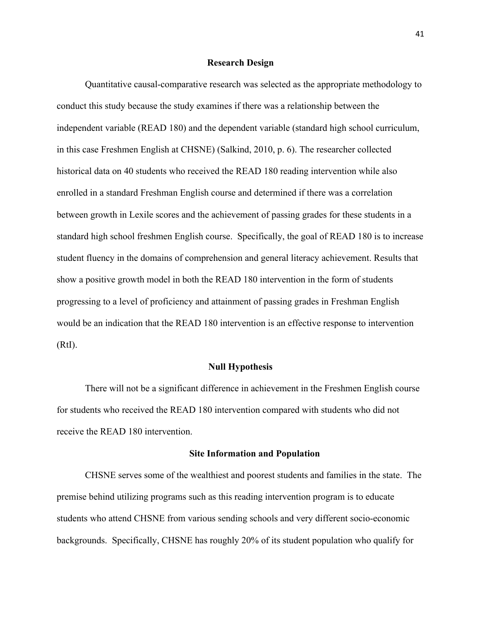### **Research Design**

Quantitative causal-comparative research was selected as the appropriate methodology to conduct this study because the study examines if there was a relationship between the independent variable (READ 180) and the dependent variable (standard high school curriculum, in this case Freshmen English at CHSNE) (Salkind, 2010, p. 6). The researcher collected historical data on 40 students who received the READ 180 reading intervention while also enrolled in a standard Freshman English course and determined if there was a correlation between growth in Lexile scores and the achievement of passing grades for these students in a standard high school freshmen English course. Specifically, the goal of READ 180 is to increase student fluency in the domains of comprehension and general literacy achievement. Results that show a positive growth model in both the READ 180 intervention in the form of students progressing to a level of proficiency and attainment of passing grades in Freshman English would be an indication that the READ 180 intervention is an effective response to intervention (RtI).

# **Null Hypothesis**

There will not be a significant difference in achievement in the Freshmen English course for students who received the READ 180 intervention compared with students who did not receive the READ 180 intervention.

# **Site Information and Population**

CHSNE serves some of the wealthiest and poorest students and families in the state. The premise behind utilizing programs such as this reading intervention program is to educate students who attend CHSNE from various sending schools and very different socio-economic backgrounds. Specifically, CHSNE has roughly 20% of its student population who qualify for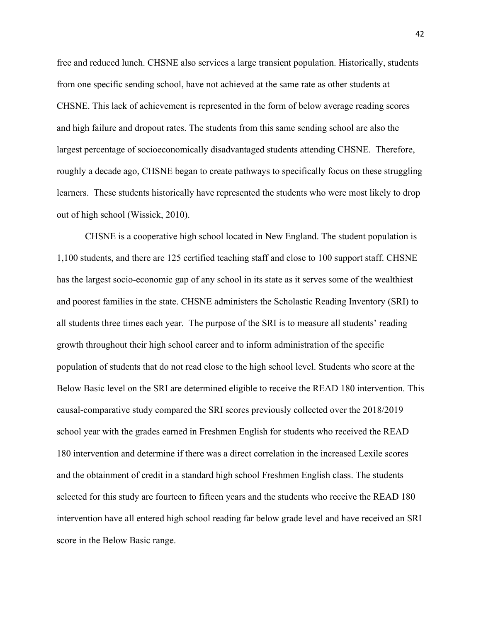free and reduced lunch. CHSNE also services a large transient population. Historically, students from one specific sending school, have not achieved at the same rate as other students at CHSNE. This lack of achievement is represented in the form of below average reading scores and high failure and dropout rates. The students from this same sending school are also the largest percentage of socioeconomically disadvantaged students attending CHSNE. Therefore, roughly a decade ago, CHSNE began to create pathways to specifically focus on these struggling learners. These students historically have represented the students who were most likely to drop out of high school (Wissick, 2010).

CHSNE is a cooperative high school located in New England. The student population is 1,100 students, and there are 125 certified teaching staff and close to 100 support staff. CHSNE has the largest socio-economic gap of any school in its state as it serves some of the wealthiest and poorest families in the state. CHSNE administers the Scholastic Reading Inventory (SRI) to all students three times each year. The purpose of the SRI is to measure all students' reading growth throughout their high school career and to inform administration of the specific population of students that do not read close to the high school level. Students who score at the Below Basic level on the SRI are determined eligible to receive the READ 180 intervention. This causal-comparative study compared the SRI scores previously collected over the 2018/2019 school year with the grades earned in Freshmen English for students who received the READ 180 intervention and determine if there was a direct correlation in the increased Lexile scores and the obtainment of credit in a standard high school Freshmen English class. The students selected for this study are fourteen to fifteen years and the students who receive the READ 180 intervention have all entered high school reading far below grade level and have received an SRI score in the Below Basic range.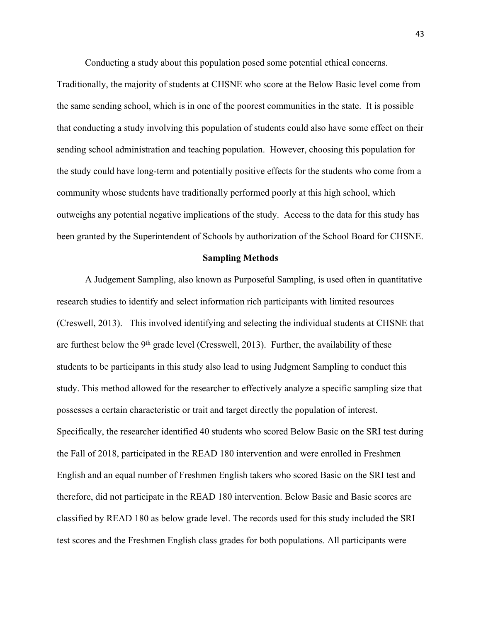Conducting a study about this population posed some potential ethical concerns.

Traditionally, the majority of students at CHSNE who score at the Below Basic level come from the same sending school, which is in one of the poorest communities in the state. It is possible that conducting a study involving this population of students could also have some effect on their sending school administration and teaching population. However, choosing this population for the study could have long-term and potentially positive effects for the students who come from a community whose students have traditionally performed poorly at this high school, which outweighs any potential negative implications of the study. Access to the data for this study has been granted by the Superintendent of Schools by authorization of the School Board for CHSNE.

## **Sampling Methods**

A Judgement Sampling, also known as Purposeful Sampling, is used often in quantitative research studies to identify and select information rich participants with limited resources (Creswell, 2013). This involved identifying and selecting the individual students at CHSNE that are furthest below the 9<sup>th</sup> grade level (Cresswell, 2013). Further, the availability of these students to be participants in this study also lead to using Judgment Sampling to conduct this study. This method allowed for the researcher to effectively analyze a specific sampling size that possesses a certain characteristic or trait and target directly the population of interest. Specifically, the researcher identified 40 students who scored Below Basic on the SRI test during the Fall of 2018, participated in the READ 180 intervention and were enrolled in Freshmen English and an equal number of Freshmen English takers who scored Basic on the SRI test and therefore, did not participate in the READ 180 intervention. Below Basic and Basic scores are classified by READ 180 as below grade level. The records used for this study included the SRI test scores and the Freshmen English class grades for both populations. All participants were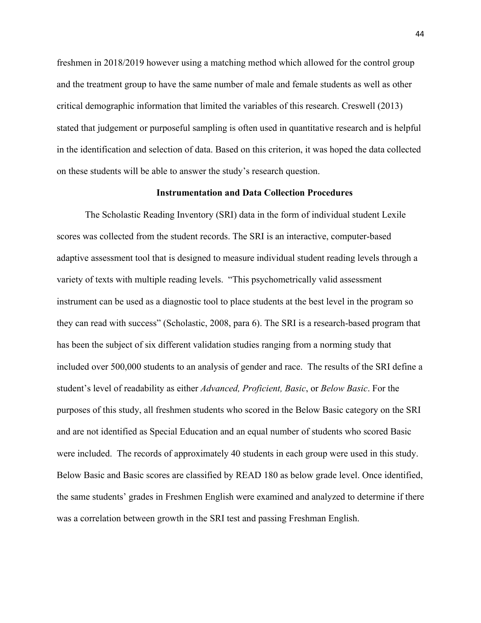freshmen in 2018/2019 however using a matching method which allowed for the control group and the treatment group to have the same number of male and female students as well as other critical demographic information that limited the variables of this research. Creswell (2013) stated that judgement or purposeful sampling is often used in quantitative research and is helpful in the identification and selection of data. Based on this criterion, it was hoped the data collected on these students will be able to answer the study's research question.

### **Instrumentation and Data Collection Procedures**

The Scholastic Reading Inventory (SRI) data in the form of individual student Lexile scores was collected from the student records. The SRI is an interactive, computer-based adaptive assessment tool that is designed to measure individual student reading levels through a variety of texts with multiple reading levels. "This psychometrically valid assessment instrument can be used as a diagnostic tool to place students at the best level in the program so they can read with success" (Scholastic, 2008, para 6). The SRI is a research-based program that has been the subject of six different validation studies ranging from a norming study that included over 500,000 students to an analysis of gender and race. The results of the SRI define a student's level of readability as either *Advanced, Proficient, Basic*, or *Below Basic*. For the purposes of this study, all freshmen students who scored in the Below Basic category on the SRI and are not identified as Special Education and an equal number of students who scored Basic were included. The records of approximately 40 students in each group were used in this study. Below Basic and Basic scores are classified by READ 180 as below grade level. Once identified, the same students' grades in Freshmen English were examined and analyzed to determine if there was a correlation between growth in the SRI test and passing Freshman English.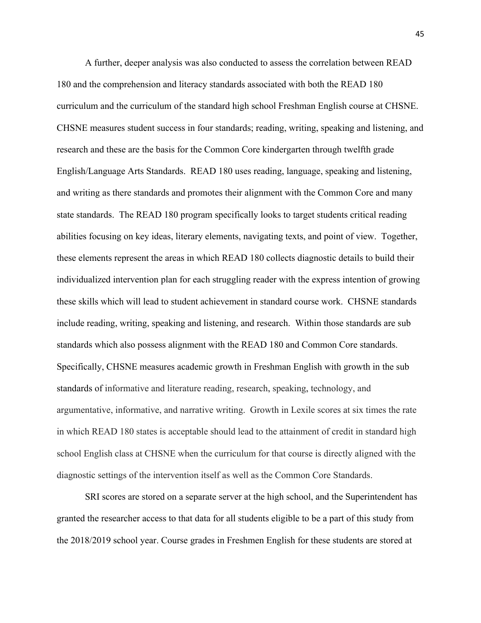A further, deeper analysis was also conducted to assess the correlation between READ 180 and the comprehension and literacy standards associated with both the READ 180 curriculum and the curriculum of the standard high school Freshman English course at CHSNE. CHSNE measures student success in four standards; reading, writing, speaking and listening, and research and these are the basis for the Common Core kindergarten through twelfth grade English/Language Arts Standards. READ 180 uses reading, language, speaking and listening, and writing as there standards and promotes their alignment with the Common Core and many state standards. The READ 180 program specifically looks to target students critical reading abilities focusing on key ideas, literary elements, navigating texts, and point of view. Together, these elements represent the areas in which READ 180 collects diagnostic details to build their individualized intervention plan for each struggling reader with the express intention of growing these skills which will lead to student achievement in standard course work. CHSNE standards include reading, writing, speaking and listening, and research. Within those standards are sub standards which also possess alignment with the READ 180 and Common Core standards. Specifically, CHSNE measures academic growth in Freshman English with growth in the sub standards of informative and literature reading, research, speaking, technology, and argumentative, informative, and narrative writing. Growth in Lexile scores at six times the rate in which READ 180 states is acceptable should lead to the attainment of credit in standard high school English class at CHSNE when the curriculum for that course is directly aligned with the diagnostic settings of the intervention itself as well as the Common Core Standards.

SRI scores are stored on a separate server at the high school, and the Superintendent has granted the researcher access to that data for all students eligible to be a part of this study from the 2018/2019 school year. Course grades in Freshmen English for these students are stored at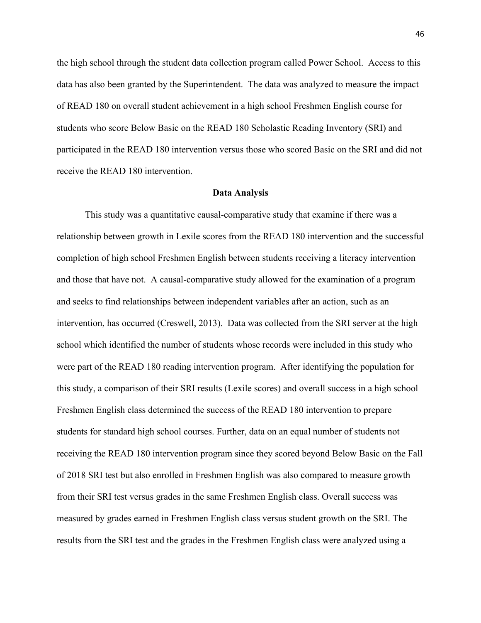the high school through the student data collection program called Power School. Access to this data has also been granted by the Superintendent. The data was analyzed to measure the impact of READ 180 on overall student achievement in a high school Freshmen English course for students who score Below Basic on the READ 180 Scholastic Reading Inventory (SRI) and participated in the READ 180 intervention versus those who scored Basic on the SRI and did not receive the READ 180 intervention.

### **Data Analysis**

This study was a quantitative causal-comparative study that examine if there was a relationship between growth in Lexile scores from the READ 180 intervention and the successful completion of high school Freshmen English between students receiving a literacy intervention and those that have not. A causal-comparative study allowed for the examination of a program and seeks to find relationships between independent variables after an action, such as an intervention, has occurred (Creswell, 2013). Data was collected from the SRI server at the high school which identified the number of students whose records were included in this study who were part of the READ 180 reading intervention program. After identifying the population for this study, a comparison of their SRI results (Lexile scores) and overall success in a high school Freshmen English class determined the success of the READ 180 intervention to prepare students for standard high school courses. Further, data on an equal number of students not receiving the READ 180 intervention program since they scored beyond Below Basic on the Fall of 2018 SRI test but also enrolled in Freshmen English was also compared to measure growth from their SRI test versus grades in the same Freshmen English class. Overall success was measured by grades earned in Freshmen English class versus student growth on the SRI. The results from the SRI test and the grades in the Freshmen English class were analyzed using a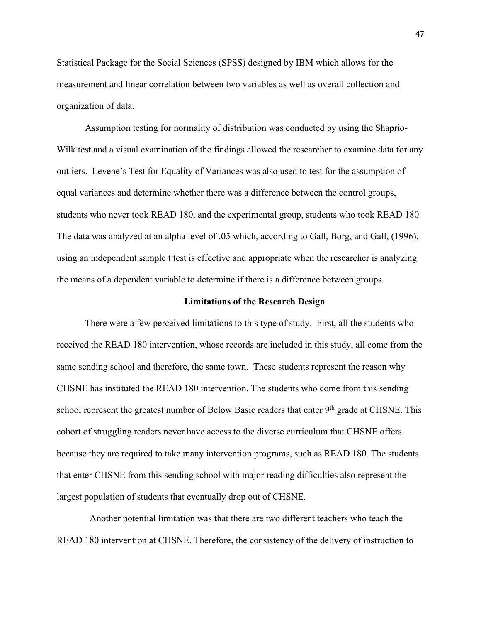Statistical Package for the Social Sciences (SPSS) designed by IBM which allows for the measurement and linear correlation between two variables as well as overall collection and organization of data.

Assumption testing for normality of distribution was conducted by using the Shaprio-Wilk test and a visual examination of the findings allowed the researcher to examine data for any outliers. Levene's Test for Equality of Variances was also used to test for the assumption of equal variances and determine whether there was a difference between the control groups, students who never took READ 180, and the experimental group, students who took READ 180. The data was analyzed at an alpha level of .05 which, according to Gall, Borg, and Gall, (1996), using an independent sample t test is effective and appropriate when the researcher is analyzing the means of a dependent variable to determine if there is a difference between groups.

### **Limitations of the Research Design**

There were a few perceived limitations to this type of study. First, all the students who received the READ 180 intervention, whose records are included in this study, all come from the same sending school and therefore, the same town. These students represent the reason why CHSNE has instituted the READ 180 intervention. The students who come from this sending school represent the greatest number of Below Basic readers that enter  $9<sup>th</sup>$  grade at CHSNE. This cohort of struggling readers never have access to the diverse curriculum that CHSNE offers because they are required to take many intervention programs, such as READ 180. The students that enter CHSNE from this sending school with major reading difficulties also represent the largest population of students that eventually drop out of CHSNE.

Another potential limitation was that there are two different teachers who teach the READ 180 intervention at CHSNE. Therefore, the consistency of the delivery of instruction to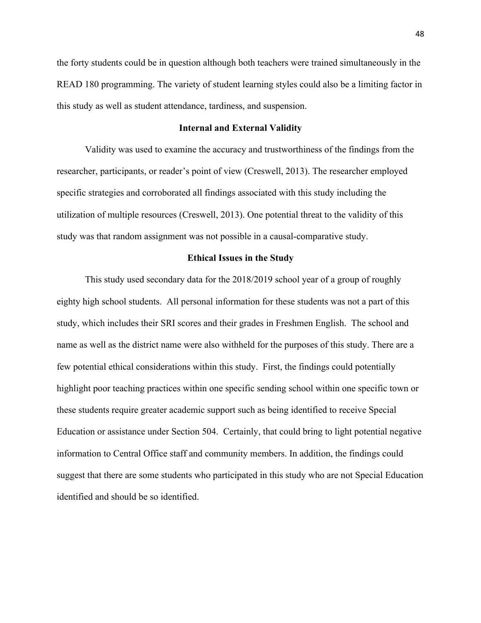the forty students could be in question although both teachers were trained simultaneously in the READ 180 programming. The variety of student learning styles could also be a limiting factor in this study as well as student attendance, tardiness, and suspension.

# **Internal and External Validity**

Validity was used to examine the accuracy and trustworthiness of the findings from the researcher, participants, or reader's point of view (Creswell, 2013). The researcher employed specific strategies and corroborated all findings associated with this study including the utilization of multiple resources (Creswell, 2013). One potential threat to the validity of this study was that random assignment was not possible in a causal-comparative study.

### **Ethical Issues in the Study**

This study used secondary data for the 2018/2019 school year of a group of roughly eighty high school students. All personal information for these students was not a part of this study, which includes their SRI scores and their grades in Freshmen English. The school and name as well as the district name were also withheld for the purposes of this study. There are a few potential ethical considerations within this study. First, the findings could potentially highlight poor teaching practices within one specific sending school within one specific town or these students require greater academic support such as being identified to receive Special Education or assistance under Section 504. Certainly, that could bring to light potential negative information to Central Office staff and community members. In addition, the findings could suggest that there are some students who participated in this study who are not Special Education identified and should be so identified.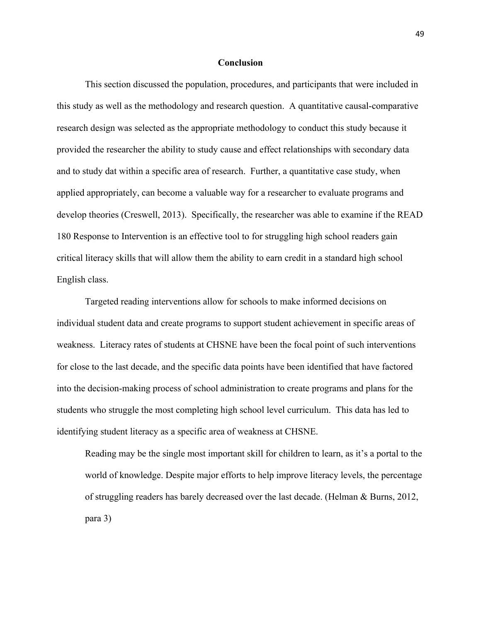# **Conclusion**

This section discussed the population, procedures, and participants that were included in this study as well as the methodology and research question. A quantitative causal-comparative research design was selected as the appropriate methodology to conduct this study because it provided the researcher the ability to study cause and effect relationships with secondary data and to study dat within a specific area of research. Further, a quantitative case study, when applied appropriately, can become a valuable way for a researcher to evaluate programs and develop theories (Creswell, 2013). Specifically, the researcher was able to examine if the READ 180 Response to Intervention is an effective tool to for struggling high school readers gain critical literacy skills that will allow them the ability to earn credit in a standard high school English class.

Targeted reading interventions allow for schools to make informed decisions on individual student data and create programs to support student achievement in specific areas of weakness. Literacy rates of students at CHSNE have been the focal point of such interventions for close to the last decade, and the specific data points have been identified that have factored into the decision-making process of school administration to create programs and plans for the students who struggle the most completing high school level curriculum. This data has led to identifying student literacy as a specific area of weakness at CHSNE.

Reading may be the single most important skill for children to learn, as it's a portal to the world of knowledge. Despite major efforts to help improve literacy levels, the percentage of struggling readers has barely decreased over the last decade. (Helman & Burns, 2012, para 3)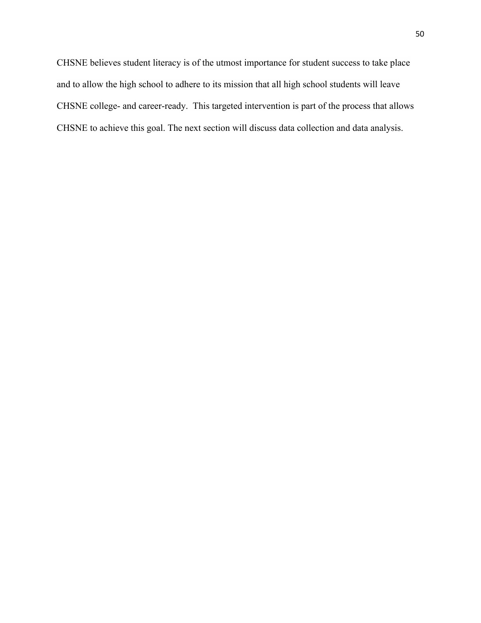CHSNE believes student literacy is of the utmost importance for student success to take place and to allow the high school to adhere to its mission that all high school students will leave CHSNE college- and career-ready. This targeted intervention is part of the process that allows CHSNE to achieve this goal. The next section will discuss data collection and data analysis.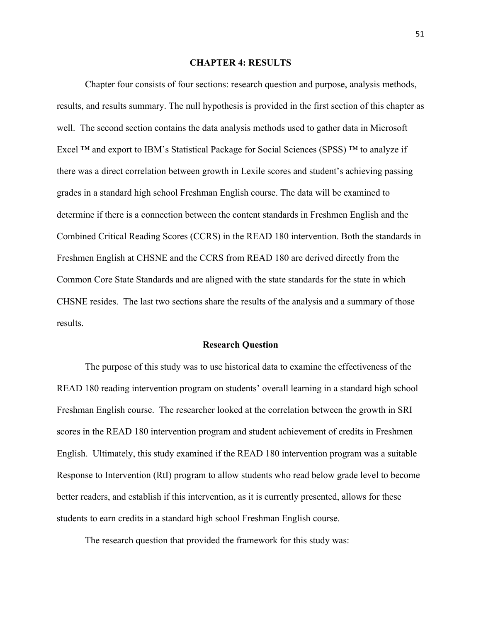# **CHAPTER 4: RESULTS**

Chapter four consists of four sections: research question and purpose, analysis methods, results, and results summary. The null hypothesis is provided in the first section of this chapter as well. The second section contains the data analysis methods used to gather data in Microsoft Excel  $TM$  and export to IBM's Statistical Package for Social Sciences (SPSS)  $TM$  to analyze if there was a direct correlation between growth in Lexile scores and student's achieving passing grades in a standard high school Freshman English course. The data will be examined to determine if there is a connection between the content standards in Freshmen English and the Combined Critical Reading Scores (CCRS) in the READ 180 intervention. Both the standards in Freshmen English at CHSNE and the CCRS from READ 180 are derived directly from the Common Core State Standards and are aligned with the state standards for the state in which CHSNE resides. The last two sections share the results of the analysis and a summary of those results.

#### **Research Question**

The purpose of this study was to use historical data to examine the effectiveness of the READ 180 reading intervention program on students' overall learning in a standard high school Freshman English course. The researcher looked at the correlation between the growth in SRI scores in the READ 180 intervention program and student achievement of credits in Freshmen English. Ultimately, this study examined if the READ 180 intervention program was a suitable Response to Intervention (RtI) program to allow students who read below grade level to become better readers, and establish if this intervention, as it is currently presented, allows for these students to earn credits in a standard high school Freshman English course.

The research question that provided the framework for this study was: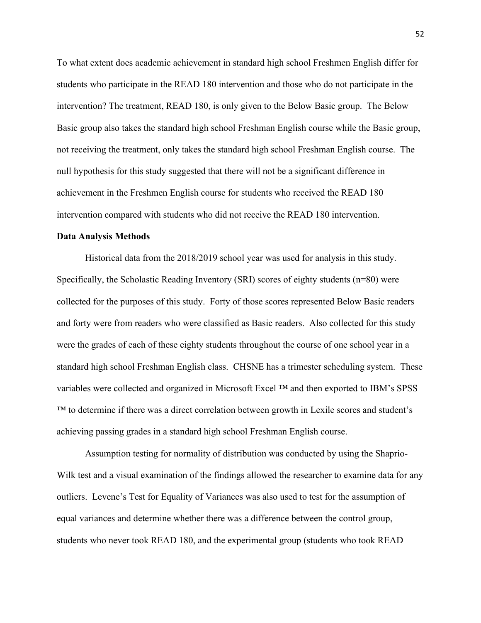To what extent does academic achievement in standard high school Freshmen English differ for students who participate in the READ 180 intervention and those who do not participate in the intervention? The treatment, READ 180, is only given to the Below Basic group. The Below Basic group also takes the standard high school Freshman English course while the Basic group, not receiving the treatment, only takes the standard high school Freshman English course. The null hypothesis for this study suggested that there will not be a significant difference in achievement in the Freshmen English course for students who received the READ 180 intervention compared with students who did not receive the READ 180 intervention.

### **Data Analysis Methods**

Historical data from the 2018/2019 school year was used for analysis in this study. Specifically, the Scholastic Reading Inventory (SRI) scores of eighty students (n=80) were collected for the purposes of this study. Forty of those scores represented Below Basic readers and forty were from readers who were classified as Basic readers. Also collected for this study were the grades of each of these eighty students throughout the course of one school year in a standard high school Freshman English class. CHSNE has a trimester scheduling system. These variables were collected and organized in Microsoft Excel ™ and then exported to IBM's SPSS ™ to determine if there was a direct correlation between growth in Lexile scores and student's achieving passing grades in a standard high school Freshman English course.

Assumption testing for normality of distribution was conducted by using the Shaprio-Wilk test and a visual examination of the findings allowed the researcher to examine data for any outliers. Levene's Test for Equality of Variances was also used to test for the assumption of equal variances and determine whether there was a difference between the control group, students who never took READ 180, and the experimental group (students who took READ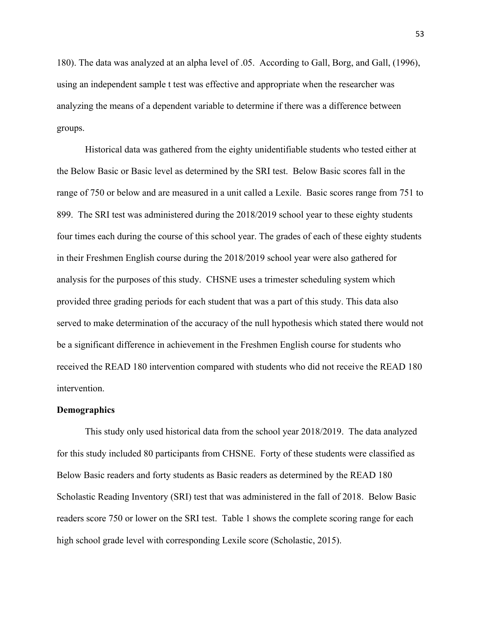180). The data was analyzed at an alpha level of .05. According to Gall, Borg, and Gall, (1996), using an independent sample t test was effective and appropriate when the researcher was analyzing the means of a dependent variable to determine if there was a difference between groups.

Historical data was gathered from the eighty unidentifiable students who tested either at the Below Basic or Basic level as determined by the SRI test. Below Basic scores fall in the range of 750 or below and are measured in a unit called a Lexile. Basic scores range from 751 to 899. The SRI test was administered during the 2018/2019 school year to these eighty students four times each during the course of this school year. The grades of each of these eighty students in their Freshmen English course during the 2018/2019 school year were also gathered for analysis for the purposes of this study. CHSNE uses a trimester scheduling system which provided three grading periods for each student that was a part of this study. This data also served to make determination of the accuracy of the null hypothesis which stated there would not be a significant difference in achievement in the Freshmen English course for students who received the READ 180 intervention compared with students who did not receive the READ 180 intervention.

### **Demographics**

This study only used historical data from the school year 2018/2019. The data analyzed for this study included 80 participants from CHSNE. Forty of these students were classified as Below Basic readers and forty students as Basic readers as determined by the READ 180 Scholastic Reading Inventory (SRI) test that was administered in the fall of 2018. Below Basic readers score 750 or lower on the SRI test. Table 1 shows the complete scoring range for each high school grade level with corresponding Lexile score (Scholastic, 2015).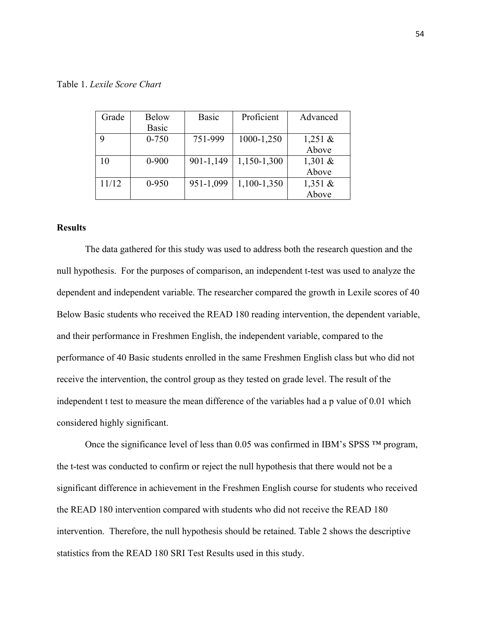|  |  |  | Table 1. Lexile Score Chart |  |
|--|--|--|-----------------------------|--|
|--|--|--|-----------------------------|--|

| Grade | <b>Below</b> | <b>Basic</b> | Proficient  | Advanced   |
|-------|--------------|--------------|-------------|------------|
|       | Basic        |              |             |            |
|       | $0 - 750$    | 751-999      | 1000-1,250  | 1,251 $\&$ |
|       |              |              |             | Above      |
| 10    | $0 - 900$    | 901-1,149    | 1,150-1,300 | 1,301 $&$  |
|       |              |              |             | Above      |
| 11/12 | $0 - 950$    | 951-1,099    | 1,100-1,350 | 1,351 $&$  |
|       |              |              |             | Above      |

# **Results**

The data gathered for this study was used to address both the research question and the null hypothesis. For the purposes of comparison, an independent t-test was used to analyze the dependent and independent variable. The researcher compared the growth in Lexile scores of 40 Below Basic students who received the READ 180 reading intervention, the dependent variable, and their performance in Freshmen English, the independent variable, compared to the performance of 40 Basic students enrolled in the same Freshmen English class but who did not receive the intervention, the control group as they tested on grade level. The result of the independent t test to measure the mean difference of the variables had a p value of 0.01 which considered highly significant.

Once the significance level of less than 0.05 was confirmed in IBM's SPSS ™ program, the t-test was conducted to confirm or reject the null hypothesis that there would not be a significant difference in achievement in the Freshmen English course for students who received the READ 180 intervention compared with students who did not receive the READ 180 intervention. Therefore, the null hypothesis should be retained. Table 2 shows the descriptive statistics from the READ 180 SRI Test Results used in this study.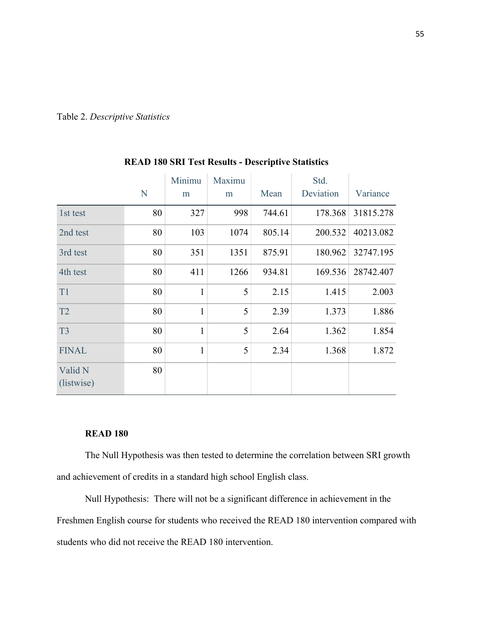|  | Table 2. Descriptive Statistics |  |
|--|---------------------------------|--|
|--|---------------------------------|--|

|                       | N  | Minimu<br>m  | Maximu<br>m | Mean   | Std.<br>Deviation | Variance  |
|-----------------------|----|--------------|-------------|--------|-------------------|-----------|
| 1st test              | 80 | 327          | 998         | 744.61 | 178.368           | 31815.278 |
| 2nd test              | 80 | 103          | 1074        | 805.14 | 200.532           | 40213.082 |
| 3rd test              | 80 | 351          | 1351        | 875.91 | 180.962           | 32747.195 |
| 4th test              | 80 | 411          | 1266        | 934.81 | 169.536           | 28742.407 |
| T <sub>1</sub>        | 80 | $\mathbf{1}$ | 5           | 2.15   | 1.415             | 2.003     |
| T2                    | 80 | $\mathbf{1}$ | 5           | 2.39   | 1.373             | 1.886     |
| T <sub>3</sub>        | 80 | $\mathbf{1}$ | 5           | 2.64   | 1.362             | 1.854     |
| <b>FINAL</b>          | 80 | $\mathbf{1}$ | 5           | 2.34   | 1.368             | 1.872     |
| Valid N<br>(listwise) | 80 |              |             |        |                   |           |

# **READ 180 SRI Test Results - Descriptive Statistics**

# **READ 180**

The Null Hypothesis was then tested to determine the correlation between SRI growth and achievement of credits in a standard high school English class.

Null Hypothesis: There will not be a significant difference in achievement in the Freshmen English course for students who received the READ 180 intervention compared with students who did not receive the READ 180 intervention.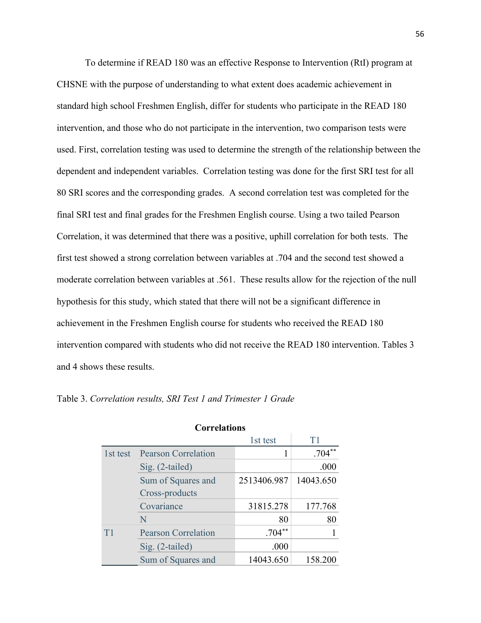To determine if READ 180 was an effective Response to Intervention (RtI) program at CHSNE with the purpose of understanding to what extent does academic achievement in standard high school Freshmen English, differ for students who participate in the READ 180 intervention, and those who do not participate in the intervention, two comparison tests were used. First, correlation testing was used to determine the strength of the relationship between the dependent and independent variables. Correlation testing was done for the first SRI test for all 80 SRI scores and the corresponding grades. A second correlation test was completed for the final SRI test and final grades for the Freshmen English course. Using a two tailed Pearson Correlation, it was determined that there was a positive, uphill correlation for both tests. The first test showed a strong correlation between variables at .704 and the second test showed a moderate correlation between variables at .561. These results allow for the rejection of the null hypothesis for this study, which stated that there will not be a significant difference in achievement in the Freshmen English course for students who received the READ 180 intervention compared with students who did not receive the READ 180 intervention. Tables 3 and 4 shows these results.

| <b>Correlations</b> |                            |             |           |  |  |  |
|---------------------|----------------------------|-------------|-----------|--|--|--|
|                     |                            | 1st test    | T1        |  |  |  |
| 1st test            | <b>Pearson Correlation</b> |             | $.704**$  |  |  |  |
|                     | Sig. (2-tailed)            |             | .000      |  |  |  |
|                     | Sum of Squares and         | 2513406.987 | 14043.650 |  |  |  |
|                     | Cross-products             |             |           |  |  |  |
|                     | Covariance                 | 31815.278   | 177.768   |  |  |  |
|                     | N                          | 80          | 80        |  |  |  |
| T <sub>1</sub>      | <b>Pearson Correlation</b> | $.704**$    |           |  |  |  |
|                     | Sig. (2-tailed)            | .000        |           |  |  |  |
|                     | Sum of Squares and         | 14043.650   | 158.200   |  |  |  |

Table 3. *Correlation results, SRI Test 1 and Trimester 1 Grade*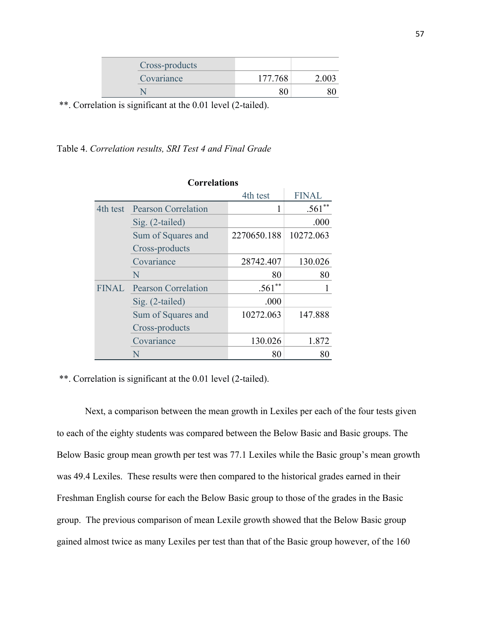| Cross-products |         |  |
|----------------|---------|--|
| Covariance     | 177.768 |  |
|                |         |  |

\*\*. Correlation is significant at the 0.01 level (2-tailed).

# Table 4. *Correlation results, SRI Test 4 and Final Grade*

| <b>Correlations</b> |                            |             |              |  |  |  |
|---------------------|----------------------------|-------------|--------------|--|--|--|
|                     |                            | 4th test    | <b>FINAL</b> |  |  |  |
| 4th test            | <b>Pearson Correlation</b> |             | .561         |  |  |  |
|                     | Sig. (2-tailed)            |             | .000         |  |  |  |
|                     | Sum of Squares and         | 2270650.188 | 10272.063    |  |  |  |
|                     | Cross-products             |             |              |  |  |  |
|                     | Covariance                 | 28742.407   | 130.026      |  |  |  |
|                     | N                          | 80          | 80           |  |  |  |
| <b>FINAL</b>        | <b>Pearson Correlation</b> | $.561**$    |              |  |  |  |
|                     | Sig. (2-tailed)            | .000        |              |  |  |  |
|                     | Sum of Squares and         | 10272.063   | 147.888      |  |  |  |
|                     | Cross-products             |             |              |  |  |  |
|                     | Covariance                 | 130.026     | 1.872        |  |  |  |
|                     | N                          | 80          | 80           |  |  |  |

\*\*. Correlation is significant at the 0.01 level (2-tailed).

Next, a comparison between the mean growth in Lexiles per each of the four tests given to each of the eighty students was compared between the Below Basic and Basic groups. The Below Basic group mean growth per test was 77.1 Lexiles while the Basic group's mean growth was 49.4 Lexiles. These results were then compared to the historical grades earned in their Freshman English course for each the Below Basic group to those of the grades in the Basic group. The previous comparison of mean Lexile growth showed that the Below Basic group gained almost twice as many Lexiles per test than that of the Basic group however, of the 160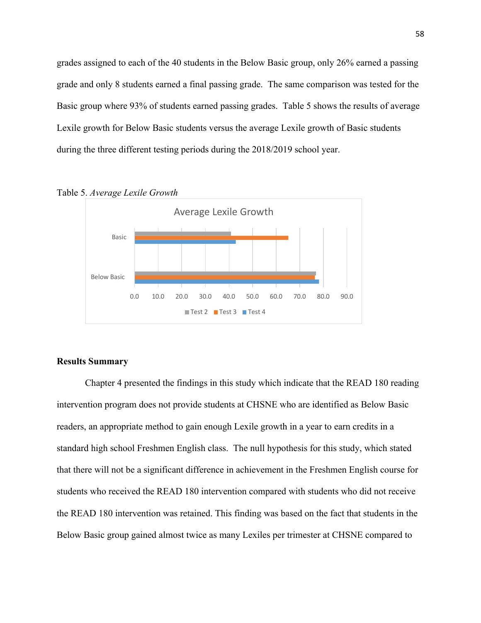grades assigned to each of the 40 students in the Below Basic group, only 26% earned a passing grade and only 8 students earned a final passing grade. The same comparison was tested for the Basic group where 93% of students earned passing grades. Table 5 shows the results of average Lexile growth for Below Basic students versus the average Lexile growth of Basic students during the three different testing periods during the 2018/2019 school year.



Table 5. *Average Lexile Growth*

### **Results Summary**

Chapter 4 presented the findings in this study which indicate that the READ 180 reading intervention program does not provide students at CHSNE who are identified as Below Basic readers, an appropriate method to gain enough Lexile growth in a year to earn credits in a standard high school Freshmen English class. The null hypothesis for this study, which stated that there will not be a significant difference in achievement in the Freshmen English course for students who received the READ 180 intervention compared with students who did not receive the READ 180 intervention was retained. This finding was based on the fact that students in the Below Basic group gained almost twice as many Lexiles per trimester at CHSNE compared to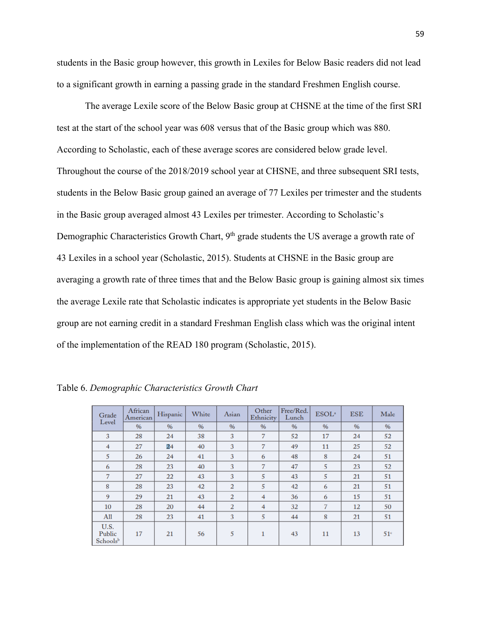students in the Basic group however, this growth in Lexiles for Below Basic readers did not lead to a significant growth in earning a passing grade in the standard Freshmen English course.

The average Lexile score of the Below Basic group at CHSNE at the time of the first SRI test at the start of the school year was 608 versus that of the Basic group which was 880. According to Scholastic, each of these average scores are considered below grade level. Throughout the course of the 2018/2019 school year at CHSNE, and three subsequent SRI tests, students in the Below Basic group gained an average of 77 Lexiles per trimester and the students in the Basic group averaged almost 43 Lexiles per trimester. According to Scholastic's Demographic Characteristics Growth Chart, 9<sup>th</sup> grade students the US average a growth rate of 43 Lexiles in a school year (Scholastic, 2015). Students at CHSNE in the Basic group are averaging a growth rate of three times that and the Below Basic group is gaining almost six times the average Lexile rate that Scholastic indicates is appropriate yet students in the Below Basic group are not earning credit in a standard Freshman English class which was the original intent of the implementation of the READ 180 program (Scholastic, 2015).

| Grade                                  | African<br>American | Hispanic | White | Asian          | Other<br>Ethnicity | Free/Red.<br>Lunch | ESOL <sup>a</sup> | <b>ESE</b> | Male            |
|----------------------------------------|---------------------|----------|-------|----------------|--------------------|--------------------|-------------------|------------|-----------------|
| Level                                  | $\%$                | $\%$     | $\%$  | $\frac{9}{6}$  | $\%$               | $\%$               | $\%$              | $\%$       | $\%$            |
| 3                                      | 28                  | 24       | 38    | 3              | $\overline{7}$     | 52                 | 17                | 24         | 52              |
| 4                                      | 27                  | 24       | 40    | 3              | 7                  | 49                 | 11                | 25         | 52              |
| 5                                      | 26                  | 24       | 41    | 3              | 6                  | 48                 | 8                 | 24         | 51              |
| 6                                      | 28                  | 23       | 40    | 3              | $\overline{7}$     | 47                 | 5                 | 23         | 52              |
| $\overline{7}$                         | 27                  | 22       | 43    | 3              | 5                  | 43                 | 5                 | 21         | 51              |
| 8                                      | 28                  | 23       | 42    | $\overline{2}$ | 5                  | 42                 | 6                 | 21         | 51              |
| 9                                      | 29                  | 21       | 43    | $\overline{2}$ | 4                  | 36                 | 6                 | 15         | 51              |
| 10                                     | 28                  | 20       | 44    | $\overline{2}$ | 4                  | 32                 | $\overline{7}$    | 12         | 50              |
| A11                                    | 28                  | 23       | 41    | 3              | 5                  | 44                 | 8                 | 21         | 51              |
| U.S.<br>Public<br>Schools <sup>b</sup> | 17                  | 21       | 56    | 5              | 1                  | 43                 | 11                | 13         | 51 <sup>c</sup> |

Table 6. *Demographic Characteristics Growth Chart*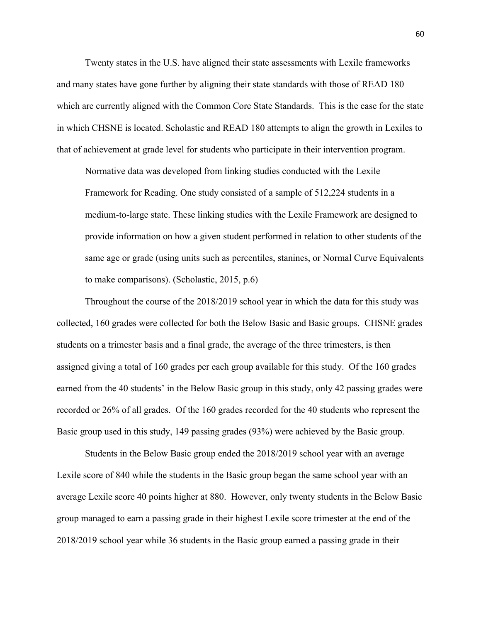Twenty states in the U.S. have aligned their state assessments with Lexile frameworks and many states have gone further by aligning their state standards with those of READ 180 which are currently aligned with the Common Core State Standards. This is the case for the state in which CHSNE is located. Scholastic and READ 180 attempts to align the growth in Lexiles to that of achievement at grade level for students who participate in their intervention program.

Normative data was developed from linking studies conducted with the Lexile Framework for Reading. One study consisted of a sample of 512,224 students in a medium-to-large state. These linking studies with the Lexile Framework are designed to provide information on how a given student performed in relation to other students of the same age or grade (using units such as percentiles, stanines, or Normal Curve Equivalents to make comparisons). (Scholastic, 2015, p.6)

Throughout the course of the 2018/2019 school year in which the data for this study was collected, 160 grades were collected for both the Below Basic and Basic groups. CHSNE grades students on a trimester basis and a final grade, the average of the three trimesters, is then assigned giving a total of 160 grades per each group available for this study. Of the 160 grades earned from the 40 students' in the Below Basic group in this study, only 42 passing grades were recorded or 26% of all grades. Of the 160 grades recorded for the 40 students who represent the Basic group used in this study, 149 passing grades (93%) were achieved by the Basic group.

Students in the Below Basic group ended the 2018/2019 school year with an average Lexile score of 840 while the students in the Basic group began the same school year with an average Lexile score 40 points higher at 880. However, only twenty students in the Below Basic group managed to earn a passing grade in their highest Lexile score trimester at the end of the 2018/2019 school year while 36 students in the Basic group earned a passing grade in their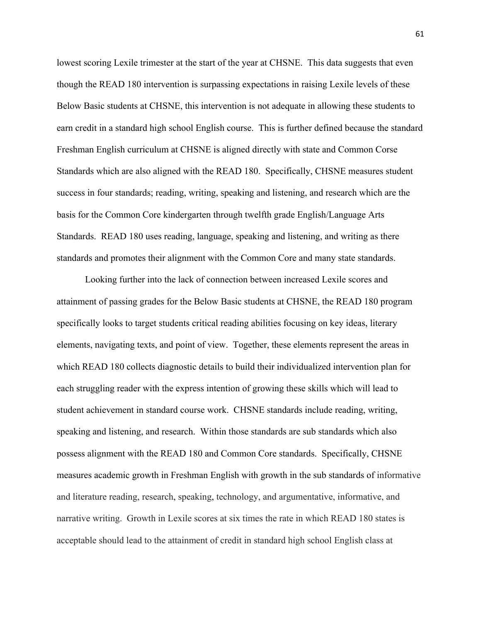lowest scoring Lexile trimester at the start of the year at CHSNE. This data suggests that even though the READ 180 intervention is surpassing expectations in raising Lexile levels of these Below Basic students at CHSNE, this intervention is not adequate in allowing these students to earn credit in a standard high school English course. This is further defined because the standard Freshman English curriculum at CHSNE is aligned directly with state and Common Corse Standards which are also aligned with the READ 180.Specifically, CHSNE measures student success in four standards; reading, writing, speaking and listening, and research which are the basis for the Common Core kindergarten through twelfth grade English/Language Arts Standards. READ 180 uses reading, language, speaking and listening, and writing as there standards and promotes their alignment with the Common Core and many state standards.

Looking further into the lack of connection between increased Lexile scores and attainment of passing grades for the Below Basic students at CHSNE, the READ 180 program specifically looks to target students critical reading abilities focusing on key ideas, literary elements, navigating texts, and point of view. Together, these elements represent the areas in which READ 180 collects diagnostic details to build their individualized intervention plan for each struggling reader with the express intention of growing these skills which will lead to student achievement in standard course work. CHSNE standards include reading, writing, speaking and listening, and research. Within those standards are sub standards which also possess alignment with the READ 180 and Common Core standards. Specifically, CHSNE measures academic growth in Freshman English with growth in the sub standards of informative and literature reading, research, speaking, technology, and argumentative, informative, and narrative writing. Growth in Lexile scores at six times the rate in which READ 180 states is acceptable should lead to the attainment of credit in standard high school English class at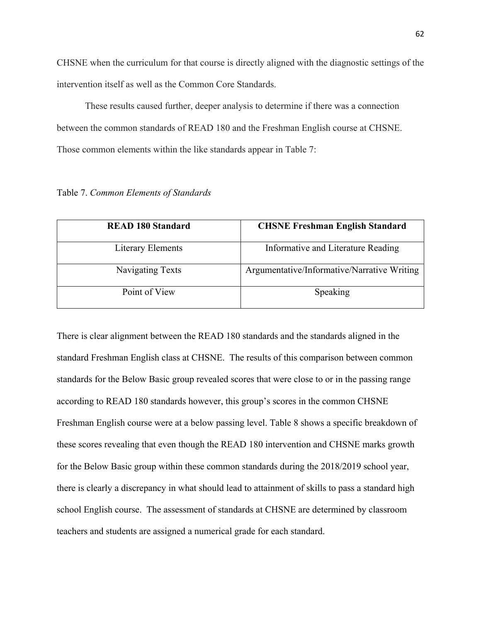CHSNE when the curriculum for that course is directly aligned with the diagnostic settings of the intervention itself as well as the Common Core Standards.

These results caused further, deeper analysis to determine if there was a connection between the common standards of READ 180 and the Freshman English course at CHSNE. Those common elements within the like standards appear in Table 7:

Table 7. *Common Elements of Standards*

| <b>READ 180 Standard</b> | <b>CHSNE Freshman English Standard</b>      |
|--------------------------|---------------------------------------------|
| Literary Elements        | Informative and Literature Reading          |
| Navigating Texts         | Argumentative/Informative/Narrative Writing |
| Point of View            | Speaking                                    |

There is clear alignment between the READ 180 standards and the standards aligned in the standard Freshman English class at CHSNE. The results of this comparison between common standards for the Below Basic group revealed scores that were close to or in the passing range according to READ 180 standards however, this group's scores in the common CHSNE Freshman English course were at a below passing level. Table 8 shows a specific breakdown of these scores revealing that even though the READ 180 intervention and CHSNE marks growth for the Below Basic group within these common standards during the 2018/2019 school year, there is clearly a discrepancy in what should lead to attainment of skills to pass a standard high school English course. The assessment of standards at CHSNE are determined by classroom teachers and students are assigned a numerical grade for each standard.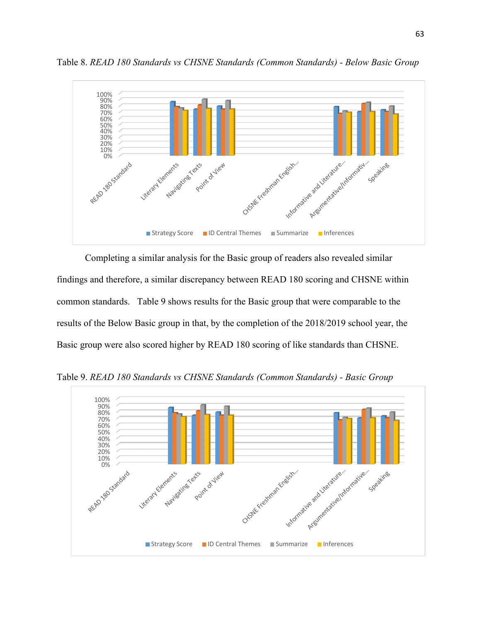

Table 8. *READ 180 Standards vs CHSNE Standards (Common Standards) - Below Basic Group*

Completing a similar analysis for the Basic group of readers also revealed similar findings and therefore, a similar discrepancy between READ 180 scoring and CHSNE within common standards. Table 9 shows results for the Basic group that were comparable to the results of the Below Basic group in that, by the completion of the 2018/2019 school year, the Basic group were also scored higher by READ 180 scoring of like standards than CHSNE.



Table 9. *READ 180 Standards vs CHSNE Standards (Common Standards) - Basic Group*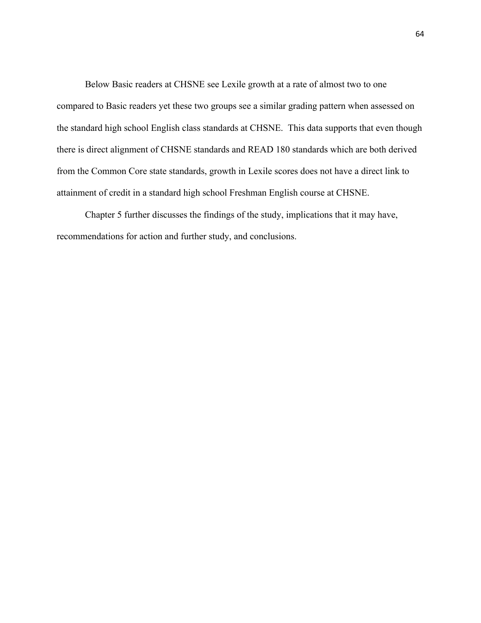Below Basic readers at CHSNE see Lexile growth at a rate of almost two to one compared to Basic readers yet these two groups see a similar grading pattern when assessed on the standard high school English class standards at CHSNE. This data supports that even though there is direct alignment of CHSNE standards and READ 180 standards which are both derived from the Common Core state standards, growth in Lexile scores does not have a direct link to attainment of credit in a standard high school Freshman English course at CHSNE.

Chapter 5 further discusses the findings of the study, implications that it may have, recommendations for action and further study, and conclusions.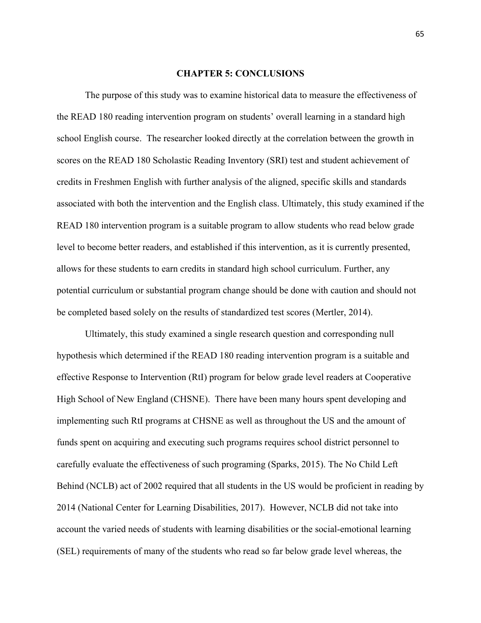# **CHAPTER 5: CONCLUSIONS**

The purpose of this study was to examine historical data to measure the effectiveness of the READ 180 reading intervention program on students' overall learning in a standard high school English course. The researcher looked directly at the correlation between the growth in scores on the READ 180 Scholastic Reading Inventory (SRI) test and student achievement of credits in Freshmen English with further analysis of the aligned, specific skills and standards associated with both the intervention and the English class. Ultimately, this study examined if the READ 180 intervention program is a suitable program to allow students who read below grade level to become better readers, and established if this intervention, as it is currently presented, allows for these students to earn credits in standard high school curriculum. Further, any potential curriculum or substantial program change should be done with caution and should not be completed based solely on the results of standardized test scores (Mertler, 2014).

Ultimately, this study examined a single research question and corresponding null hypothesis which determined if the READ 180 reading intervention program is a suitable and effective Response to Intervention (RtI) program for below grade level readers at Cooperative High School of New England (CHSNE). There have been many hours spent developing and implementing such RtI programs at CHSNE as well as throughout the US and the amount of funds spent on acquiring and executing such programs requires school district personnel to carefully evaluate the effectiveness of such programing (Sparks, 2015). The No Child Left Behind (NCLB) act of 2002 required that all students in the US would be proficient in reading by 2014 (National Center for Learning Disabilities, 2017). However, NCLB did not take into account the varied needs of students with learning disabilities or the social-emotional learning (SEL) requirements of many of the students who read so far below grade level whereas, the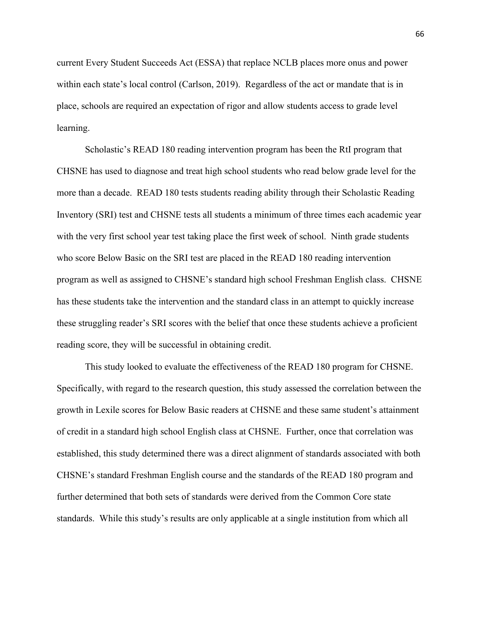current Every Student Succeeds Act (ESSA) that replace NCLB places more onus and power within each state's local control (Carlson, 2019). Regardless of the act or mandate that is in place, schools are required an expectation of rigor and allow students access to grade level learning.

Scholastic's READ 180 reading intervention program has been the RtI program that CHSNE has used to diagnose and treat high school students who read below grade level for the more than a decade. READ 180 tests students reading ability through their Scholastic Reading Inventory (SRI) test and CHSNE tests all students a minimum of three times each academic year with the very first school year test taking place the first week of school. Ninth grade students who score Below Basic on the SRI test are placed in the READ 180 reading intervention program as well as assigned to CHSNE's standard high school Freshman English class. CHSNE has these students take the intervention and the standard class in an attempt to quickly increase these struggling reader's SRI scores with the belief that once these students achieve a proficient reading score, they will be successful in obtaining credit.

This study looked to evaluate the effectiveness of the READ 180 program for CHSNE. Specifically, with regard to the research question, this study assessed the correlation between the growth in Lexile scores for Below Basic readers at CHSNE and these same student's attainment of credit in a standard high school English class at CHSNE. Further, once that correlation was established, this study determined there was a direct alignment of standards associated with both CHSNE's standard Freshman English course and the standards of the READ 180 program and further determined that both sets of standards were derived from the Common Core state standards. While this study's results are only applicable at a single institution from which all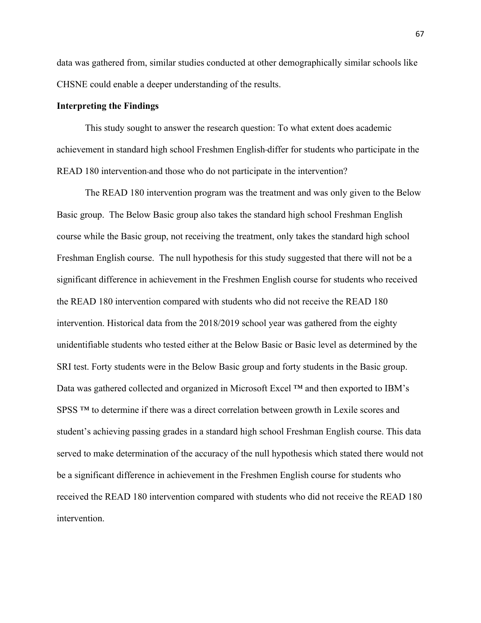data was gathered from, similar studies conducted at other demographically similar schools like CHSNE could enable a deeper understanding of the results.

### **Interpreting the Findings**

This study sought to answer the research question: To what extent does academic achievement in standard high school Freshmen English differ for students who participate in the READ 180 intervention-and those who do not participate in the intervention?

The READ 180 intervention program was the treatment and was only given to the Below Basic group. The Below Basic group also takes the standard high school Freshman English course while the Basic group, not receiving the treatment, only takes the standard high school Freshman English course. The null hypothesis for this study suggested that there will not be a significant difference in achievement in the Freshmen English course for students who received the READ 180 intervention compared with students who did not receive the READ 180 intervention. Historical data from the 2018/2019 school year was gathered from the eighty unidentifiable students who tested either at the Below Basic or Basic level as determined by the SRI test. Forty students were in the Below Basic group and forty students in the Basic group. Data was gathered collected and organized in Microsoft Excel ™ and then exported to IBM's SPSS ™ to determine if there was a direct correlation between growth in Lexile scores and student's achieving passing grades in a standard high school Freshman English course. This data served to make determination of the accuracy of the null hypothesis which stated there would not be a significant difference in achievement in the Freshmen English course for students who received the READ 180 intervention compared with students who did not receive the READ 180 intervention.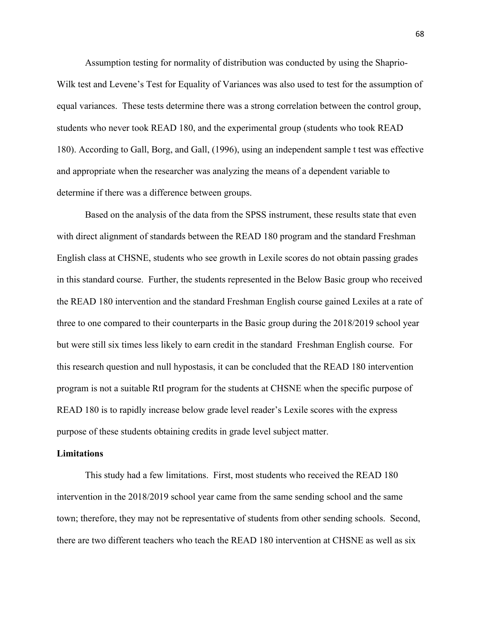Assumption testing for normality of distribution was conducted by using the Shaprio-Wilk test and Levene's Test for Equality of Variances was also used to test for the assumption of equal variances. These tests determine there was a strong correlation between the control group, students who never took READ 180, and the experimental group (students who took READ 180). According to Gall, Borg, and Gall, (1996), using an independent sample t test was effective and appropriate when the researcher was analyzing the means of a dependent variable to determine if there was a difference between groups.

Based on the analysis of the data from the SPSS instrument, these results state that even with direct alignment of standards between the READ 180 program and the standard Freshman English class at CHSNE, students who see growth in Lexile scores do not obtain passing grades in this standard course. Further, the students represented in the Below Basic group who received the READ 180 intervention and the standard Freshman English course gained Lexiles at a rate of three to one compared to their counterparts in the Basic group during the 2018/2019 school year but were still six times less likely to earn credit in the standard Freshman English course. For this research question and null hypostasis, it can be concluded that the READ 180 intervention program is not a suitable RtI program for the students at CHSNE when the specific purpose of READ 180 is to rapidly increase below grade level reader's Lexile scores with the express purpose of these students obtaining credits in grade level subject matter.

#### **Limitations**

This study had a few limitations. First, most students who received the READ 180 intervention in the 2018/2019 school year came from the same sending school and the same town; therefore, they may not be representative of students from other sending schools. Second, there are two different teachers who teach the READ 180 intervention at CHSNE as well as six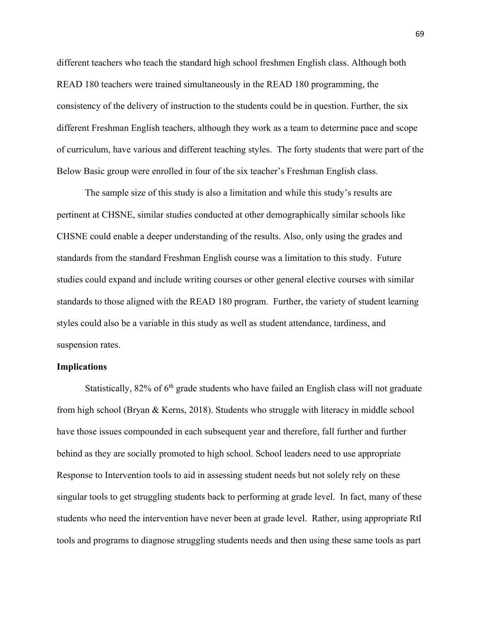different teachers who teach the standard high school freshmen English class. Although both READ 180 teachers were trained simultaneously in the READ 180 programming, the consistency of the delivery of instruction to the students could be in question. Further, the six different Freshman English teachers, although they work as a team to determine pace and scope of curriculum, have various and different teaching styles. The forty students that were part of the Below Basic group were enrolled in four of the six teacher's Freshman English class.

The sample size of this study is also a limitation and while this study's results are pertinent at CHSNE, similar studies conducted at other demographically similar schools like CHSNE could enable a deeper understanding of the results. Also, only using the grades and standards from the standard Freshman English course was a limitation to this study. Future studies could expand and include writing courses or other general elective courses with similar standards to those aligned with the READ 180 program. Further, the variety of student learning styles could also be a variable in this study as well as student attendance, tardiness, and suspension rates.

# **Implications**

Statistically,  $82\%$  of  $6<sup>th</sup>$  grade students who have failed an English class will not graduate from high school (Bryan & Kerns, 2018). Students who struggle with literacy in middle school have those issues compounded in each subsequent year and therefore, fall further and further behind as they are socially promoted to high school. School leaders need to use appropriate Response to Intervention tools to aid in assessing student needs but not solely rely on these singular tools to get struggling students back to performing at grade level. In fact, many of these students who need the intervention have never been at grade level. Rather, using appropriate RtI tools and programs to diagnose struggling students needs and then using these same tools as part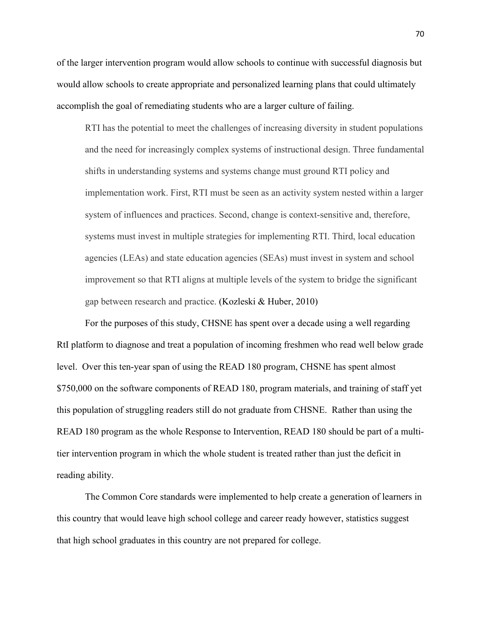of the larger intervention program would allow schools to continue with successful diagnosis but would allow schools to create appropriate and personalized learning plans that could ultimately accomplish the goal of remediating students who are a larger culture of failing.

RTI has the potential to meet the challenges of increasing diversity in student populations and the need for increasingly complex systems of instructional design. Three fundamental shifts in understanding systems and systems change must ground RTI policy and implementation work. First, RTI must be seen as an activity system nested within a larger system of influences and practices. Second, change is context-sensitive and, therefore, systems must invest in multiple strategies for implementing RTI. Third, local education agencies (LEAs) and state education agencies (SEAs) must invest in system and school improvement so that RTI aligns at multiple levels of the system to bridge the significant gap between research and practice. (Kozleski & Huber, 2010)

For the purposes of this study, CHSNE has spent over a decade using a well regarding RtI platform to diagnose and treat a population of incoming freshmen who read well below grade level. Over this ten-year span of using the READ 180 program, CHSNE has spent almost \$750,000 on the software components of READ 180, program materials, and training of staff yet this population of struggling readers still do not graduate from CHSNE. Rather than using the READ 180 program as the whole Response to Intervention, READ 180 should be part of a multitier intervention program in which the whole student is treated rather than just the deficit in reading ability.

The Common Core standards were implemented to help create a generation of learners in this country that would leave high school college and career ready however, statistics suggest that high school graduates in this country are not prepared for college.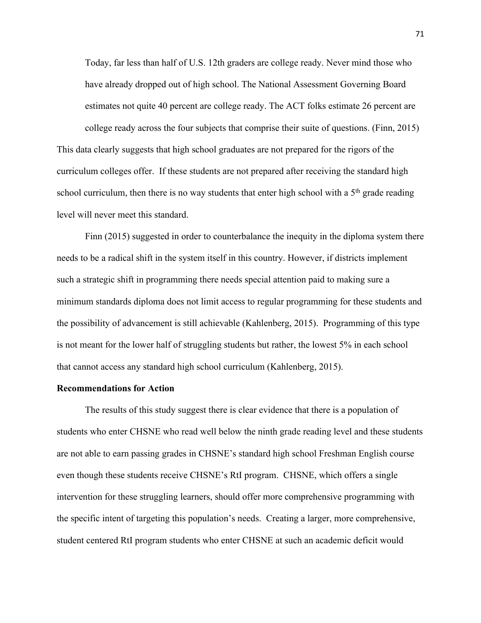Today, far less than half of U.S. 12th graders are college ready. Never mind those who have already dropped out of high school. The National Assessment Governing Board estimates not quite 40 percent are college ready. The ACT folks estimate 26 percent are

college ready across the four subjects that comprise their suite of questions. (Finn, 2015) This data clearly suggests that high school graduates are not prepared for the rigors of the curriculum colleges offer. If these students are not prepared after receiving the standard high school curriculum, then there is no way students that enter high school with a  $5<sup>th</sup>$  grade reading level will never meet this standard.

Finn (2015) suggested in order to counterbalance the inequity in the diploma system there needs to be a radical shift in the system itself in this country. However, if districts implement such a strategic shift in programming there needs special attention paid to making sure a minimum standards diploma does not limit access to regular programming for these students and the possibility of advancement is still achievable (Kahlenberg, 2015). Programming of this type is not meant for the lower half of struggling students but rather, the lowest 5% in each school that cannot access any standard high school curriculum (Kahlenberg, 2015).

### **Recommendations for Action**

The results of this study suggest there is clear evidence that there is a population of students who enter CHSNE who read well below the ninth grade reading level and these students are not able to earn passing grades in CHSNE's standard high school Freshman English course even though these students receive CHSNE's RtI program. CHSNE, which offers a single intervention for these struggling learners, should offer more comprehensive programming with the specific intent of targeting this population's needs. Creating a larger, more comprehensive, student centered RtI program students who enter CHSNE at such an academic deficit would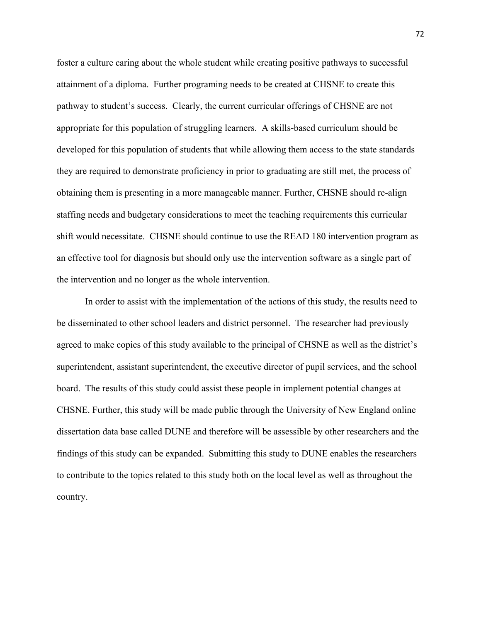foster a culture caring about the whole student while creating positive pathways to successful attainment of a diploma. Further programing needs to be created at CHSNE to create this pathway to student's success. Clearly, the current curricular offerings of CHSNE are not appropriate for this population of struggling learners. A skills-based curriculum should be developed for this population of students that while allowing them access to the state standards they are required to demonstrate proficiency in prior to graduating are still met, the process of obtaining them is presenting in a more manageable manner. Further, CHSNE should re-align staffing needs and budgetary considerations to meet the teaching requirements this curricular shift would necessitate. CHSNE should continue to use the READ 180 intervention program as an effective tool for diagnosis but should only use the intervention software as a single part of the intervention and no longer as the whole intervention.

In order to assist with the implementation of the actions of this study, the results need to be disseminated to other school leaders and district personnel. The researcher had previously agreed to make copies of this study available to the principal of CHSNE as well as the district's superintendent, assistant superintendent, the executive director of pupil services, and the school board. The results of this study could assist these people in implement potential changes at CHSNE. Further, this study will be made public through the University of New England online dissertation data base called DUNE and therefore will be assessible by other researchers and the findings of this study can be expanded. Submitting this study to DUNE enables the researchers to contribute to the topics related to this study both on the local level as well as throughout the country.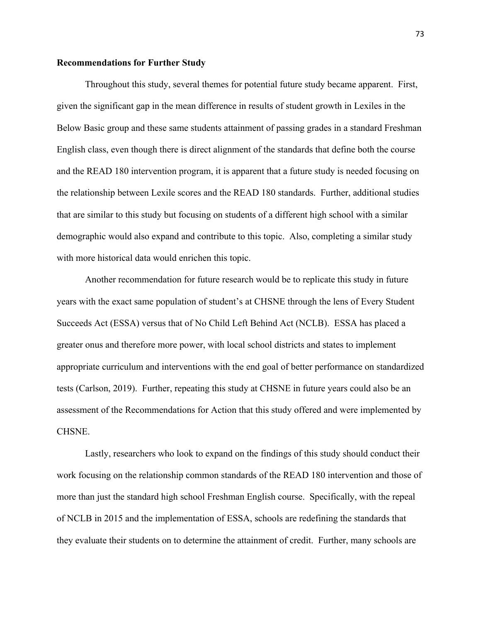### **Recommendations for Further Study**

Throughout this study, several themes for potential future study became apparent. First, given the significant gap in the mean difference in results of student growth in Lexiles in the Below Basic group and these same students attainment of passing grades in a standard Freshman English class, even though there is direct alignment of the standards that define both the course and the READ 180 intervention program, it is apparent that a future study is needed focusing on the relationship between Lexile scores and the READ 180 standards. Further, additional studies that are similar to this study but focusing on students of a different high school with a similar demographic would also expand and contribute to this topic. Also, completing a similar study with more historical data would enrichen this topic.

Another recommendation for future research would be to replicate this study in future years with the exact same population of student's at CHSNE through the lens of Every Student Succeeds Act (ESSA) versus that of No Child Left Behind Act (NCLB). ESSA has placed a greater onus and therefore more power, with local school districts and states to implement appropriate curriculum and interventions with the end goal of better performance on standardized tests (Carlson, 2019). Further, repeating this study at CHSNE in future years could also be an assessment of the Recommendations for Action that this study offered and were implemented by CHSNE.

Lastly, researchers who look to expand on the findings of this study should conduct their work focusing on the relationship common standards of the READ 180 intervention and those of more than just the standard high school Freshman English course. Specifically, with the repeal of NCLB in 2015 and the implementation of ESSA, schools are redefining the standards that they evaluate their students on to determine the attainment of credit. Further, many schools are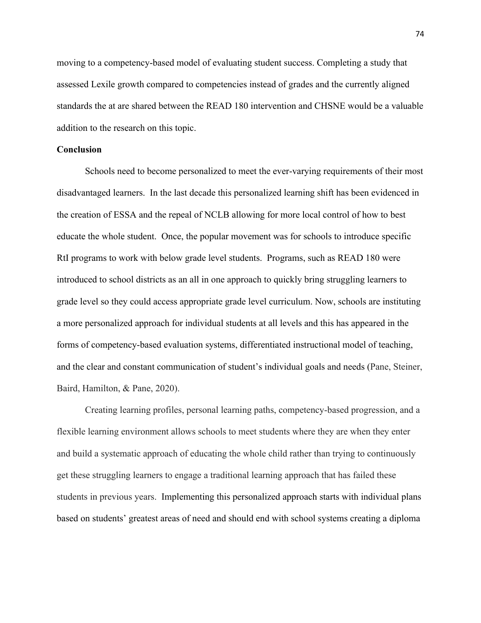moving to a competency-based model of evaluating student success. Completing a study that assessed Lexile growth compared to competencies instead of grades and the currently aligned standards the at are shared between the READ 180 intervention and CHSNE would be a valuable addition to the research on this topic.

# **Conclusion**

Schools need to become personalized to meet the ever-varying requirements of their most disadvantaged learners. In the last decade this personalized learning shift has been evidenced in the creation of ESSA and the repeal of NCLB allowing for more local control of how to best educate the whole student. Once, the popular movement was for schools to introduce specific RtI programs to work with below grade level students. Programs, such as READ 180 were introduced to school districts as an all in one approach to quickly bring struggling learners to grade level so they could access appropriate grade level curriculum. Now, schools are instituting a more personalized approach for individual students at all levels and this has appeared in the forms of competency-based evaluation systems, differentiated instructional model of teaching, and the clear and constant communication of student's individual goals and needs (Pane, Steiner, Baird, Hamilton, & Pane, 2020).

Creating learning profiles, personal learning paths, competency-based progression, and a flexible learning environment allows schools to meet students where they are when they enter and build a systematic approach of educating the whole child rather than trying to continuously get these struggling learners to engage a traditional learning approach that has failed these students in previous years. Implementing this personalized approach starts with individual plans based on students' greatest areas of need and should end with school systems creating a diploma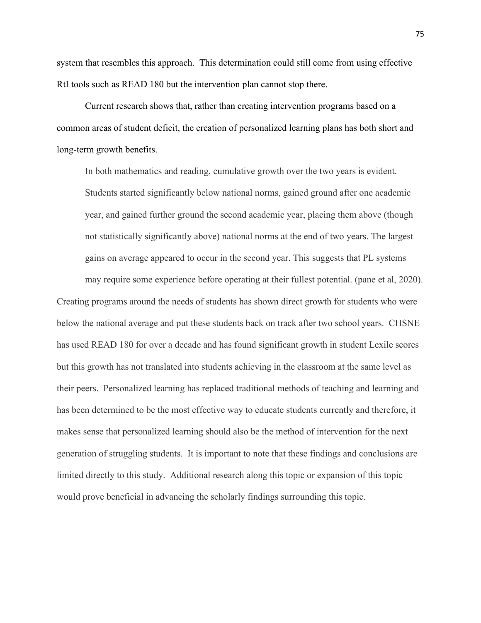system that resembles this approach. This determination could still come from using effective RtI tools such as READ 180 but the intervention plan cannot stop there.

Current research shows that, rather than creating intervention programs based on a common areas of student deficit, the creation of personalized learning plans has both short and long-term growth benefits.

In both mathematics and reading, cumulative growth over the two years is evident. Students started significantly below national norms, gained ground after one academic year, and gained further ground the second academic year, placing them above (though not statistically significantly above) national norms at the end of two years. The largest gains on average appeared to occur in the second year. This suggests that PL systems may require some experience before operating at their fullest potential. (pane et al, 2020).

Creating programs around the needs of students has shown direct growth for students who were below the national average and put these students back on track after two school years. CHSNE has used READ 180 for over a decade and has found significant growth in student Lexile scores but this growth has not translated into students achieving in the classroom at the same level as their peers. Personalized learning has replaced traditional methods of teaching and learning and has been determined to be the most effective way to educate students currently and therefore, it makes sense that personalized learning should also be the method of intervention for the next generation of struggling students. It is important to note that these findings and conclusions are limited directly to this study. Additional research along this topic or expansion of this topic would prove beneficial in advancing the scholarly findings surrounding this topic.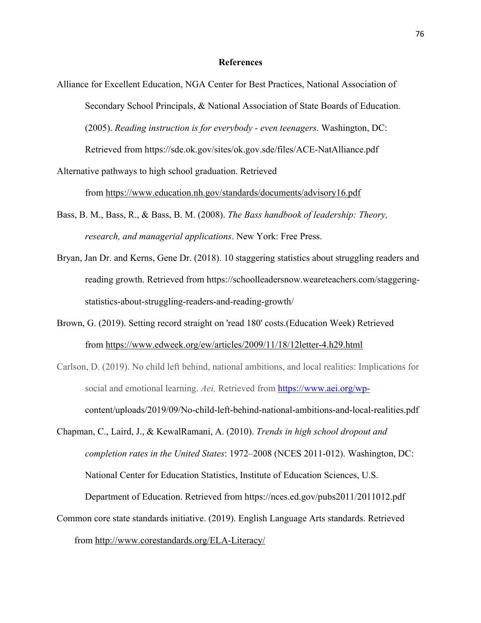# **References**

- Alliance for Excellent Education, NGA Center for Best Practices, National Association of Secondary School Principals, & National Association of State Boards of Education. (2005). *Reading instruction is for everybody - even teenagers.* Washington, DC: Retrieved from https://sde.ok.gov/sites/ok.gov.sde/files/ACE-NatAlliance.pdf
- Alternative pathways to high school graduation. Retrieved

from https://www.education.nh.gov/standards/documents/advisory16.pdf

- Bass, B. M., Bass, R., & Bass, B. M. (2008). *The Bass handbook of leadership: Theory, research, and managerial applications*. New York: Free Press.
- Bryan, Jan Dr. and Kerns, Gene Dr. (2018). 10 staggering statistics about struggling readers and reading growth. Retrieved from https://schoolleadersnow.weareteachers.com/staggeringstatistics-about-struggling-readers-and-reading-growth/
- Brown, G. (2019). Setting record straight on 'read 180' costs.(Education Week) Retrieved from https://www.edweek.org/ew/articles/2009/11/18/12letter-4.h29.html
- Carlson, D. (2019). No child left behind, national ambitions, and local realities: Implications for social and emotional learning. *Aei,* Retrieved from https://www.aei.org/wpcontent/uploads/2019/09/No-child-left-behind-national-ambitions-and-local-realities.pdf
- Chapman, C., Laird, J., & KewalRamani, A. (2010). *Trends in high school dropout and completion rates in the United States*: 1972–2008 (NCES 2011-012). Washington, DC: National Center for Education Statistics, Institute of Education Sciences, U.S.

Department of Education. Retrieved from https://nces.ed.gov/pubs2011/2011012.pdf

Common core state standards initiative. (2019). English Language Arts standards. Retrieved from http://www.corestandards.org/ELA-Literacy/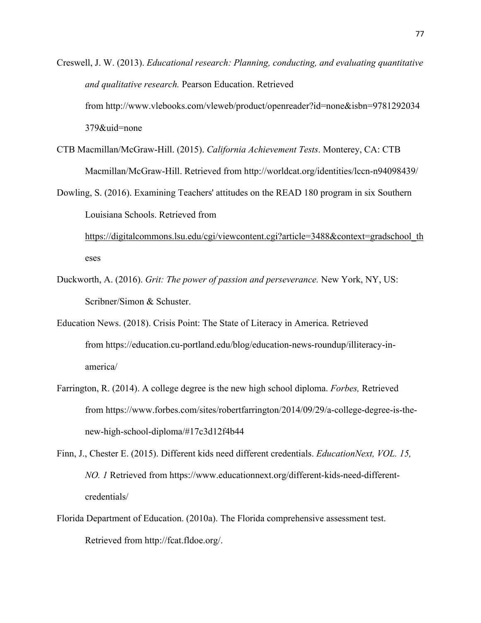Creswell, J. W. (2013). *Educational research: Planning, conducting, and evaluating quantitative and qualitative research.* Pearson Education. Retrieved from http://www.vlebooks.com/vleweb/product/openreader?id=none&isbn=9781292034 379&uid=none

- CTB Macmillan/McGraw-Hill. (2015). *California Achievement Tests*. Monterey, CA: CTB Macmillan/McGraw-Hill. Retrieved from http://worldcat.org/identities/lccn-n94098439/
- Dowling, S. (2016). Examining Teachers' attitudes on the READ 180 program in six Southern Louisiana Schools. Retrieved from

https://digitalcommons.lsu.edu/cgi/viewcontent.cgi?article=3488&context=gradschool\_th eses

- Duckworth, A. (2016). *Grit: The power of passion and perseverance.* New York, NY, US: Scribner/Simon & Schuster.
- Education News. (2018). Crisis Point: The State of Literacy in America. Retrieved from https://education.cu-portland.edu/blog/education-news-roundup/illiteracy-inamerica/
- Farrington, R. (2014). A college degree is the new high school diploma. *Forbes,* Retrieved from https://www.forbes.com/sites/robertfarrington/2014/09/29/a-college-degree-is-thenew-high-school-diploma/#17c3d12f4b44

Finn, J., Chester E. (2015). Different kids need different credentials. *EducationNext, VOL. 15, NO. 1* Retrieved from https://www.educationnext.org/different-kids-need-differentcredentials/

Florida Department of Education. (2010a). The Florida comprehensive assessment test. Retrieved from http://fcat.fldoe.org/.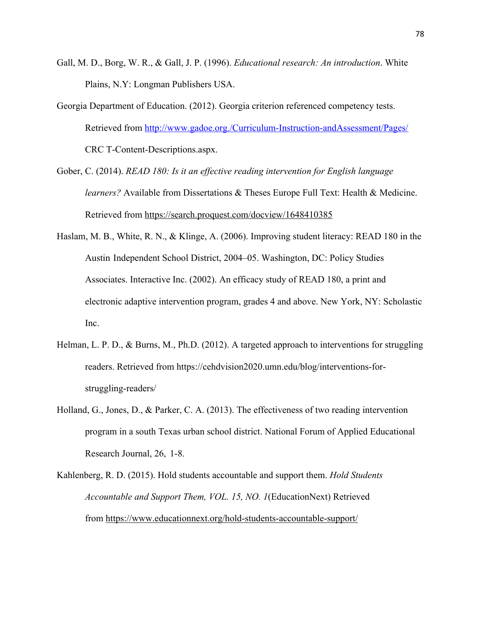- Gall, M. D., Borg, W. R., & Gall, J. P. (1996). *Educational research: An introduction*. White Plains, N.Y: Longman Publishers USA.
- Georgia Department of Education. (2012). Georgia criterion referenced competency tests. Retrieved from http://www.gadoe.org./Curriculum-Instruction-andAssessment/Pages/ CRC T-Content-Descriptions.aspx.
- Gober, C. (2014). *READ 180: Is it an effective reading intervention for English language learners?* Available from Dissertations & Theses Europe Full Text: Health & Medicine. Retrieved from https://search.proquest.com/docview/1648410385
- Haslam, M. B., White, R. N., & Klinge, A. (2006). Improving student literacy: READ 180 in the Austin Independent School District, 2004–05. Washington, DC: Policy Studies Associates. Interactive Inc. (2002). An efficacy study of READ 180, a print and electronic adaptive intervention program, grades 4 and above. New York, NY: Scholastic Inc.
- Helman, L. P. D., & Burns, M., Ph.D. (2012). A targeted approach to interventions for struggling readers. Retrieved from https://cehdvision2020.umn.edu/blog/interventions-forstruggling-readers/
- Holland, G., Jones, D., & Parker, C. A. (2013). The effectiveness of two reading intervention program in a south Texas urban school district. National Forum of Applied Educational Research Journal, 26, 1-8.
- Kahlenberg, R. D. (2015). Hold students accountable and support them. *Hold Students Accountable and Support Them, VOL. 15, NO. 1*(EducationNext) Retrieved from https://www.educationnext.org/hold-students-accountable-support/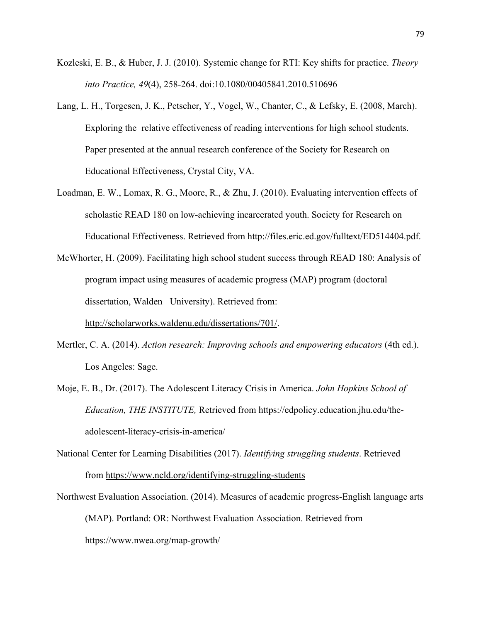- Kozleski, E. B., & Huber, J. J. (2010). Systemic change for RTI: Key shifts for practice. *Theory into Practice, 49*(4), 258-264. doi:10.1080/00405841.2010.510696
- Lang, L. H., Torgesen, J. K., Petscher, Y., Vogel, W., Chanter, C., & Lefsky, E. (2008, March). Exploring the relative effectiveness of reading interventions for high school students. Paper presented at the annual research conference of the Society for Research on Educational Effectiveness, Crystal City, VA.
- Loadman, E. W., Lomax, R. G., Moore, R., & Zhu, J. (2010). Evaluating intervention effects of scholastic READ 180 on low-achieving incarcerated youth. Society for Research on Educational Effectiveness. Retrieved from http://files.eric.ed.gov/fulltext/ED514404.pdf.
- McWhorter, H. (2009). Facilitating high school student success through READ 180: Analysis of program impact using measures of academic progress (MAP) program (doctoral dissertation, Walden University). Retrieved from:

http://scholarworks.waldenu.edu/dissertations/701/.

- Mertler, C. A. (2014). *Action research: Improving schools and empowering educators* (4th ed.). Los Angeles: Sage.
- Moje, E. B., Dr. (2017). The Adolescent Literacy Crisis in America. *John Hopkins School of Education, THE INSTITUTE,* Retrieved from https://edpolicy.education.jhu.edu/theadolescent-literacy-crisis-in-america/
- National Center for Learning Disabilities (2017). *Identifying struggling students*. Retrieved from https://www.ncld.org/identifying-struggling-students
- Northwest Evaluation Association. (2014). Measures of academic progress-English language arts (MAP). Portland: OR: Northwest Evaluation Association. Retrieved from https://www.nwea.org/map-growth/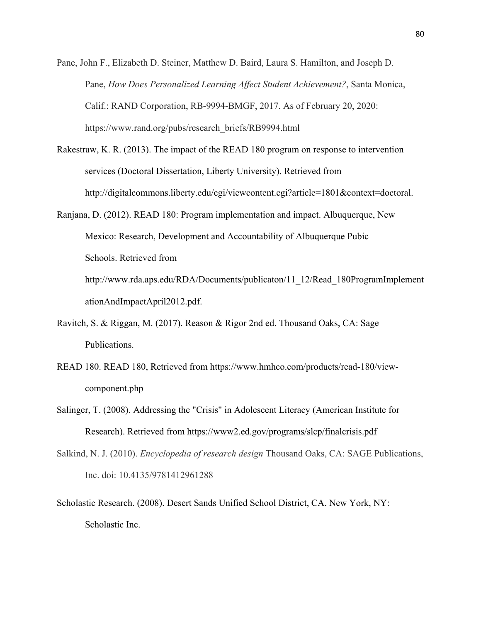- Pane, John F., Elizabeth D. Steiner, Matthew D. Baird, Laura S. Hamilton, and Joseph D. Pane, *How Does Personalized Learning Affect Student Achievement?*, Santa Monica, Calif.: RAND Corporation, RB-9994-BMGF, 2017. As of February 20, 2020: https://www.rand.org/pubs/research\_briefs/RB9994.html
- Rakestraw, K. R. (2013). The impact of the READ 180 program on response to intervention services (Doctoral Dissertation, Liberty University). Retrieved from http://digitalcommons.liberty.edu/cgi/viewcontent.cgi?article=1801&context=doctoral.
- Ranjana, D. (2012). READ 180: Program implementation and impact. Albuquerque, New Mexico: Research, Development and Accountability of Albuquerque Pubic Schools. Retrieved from http://www.rda.aps.edu/RDA/Documents/publicaton/11\_12/Read\_180ProgramImplement ationAndImpactApril2012.pdf.
- Ravitch, S. & Riggan, M. (2017). Reason & Rigor 2nd ed. Thousand Oaks, CA: Sage Publications.
- READ 180. READ 180, Retrieved from https://www.hmhco.com/products/read-180/viewcomponent.php
- Salinger, T. (2008). Addressing the "Crisis" in Adolescent Literacy (American Institute for Research). Retrieved from https://www2.ed.gov/programs/slcp/finalcrisis.pdf
- Salkind, N. J. (2010). *Encyclopedia of research design* Thousand Oaks, CA: SAGE Publications, Inc. doi: 10.4135/9781412961288
- Scholastic Research. (2008). Desert Sands Unified School District, CA. New York, NY: Scholastic Inc.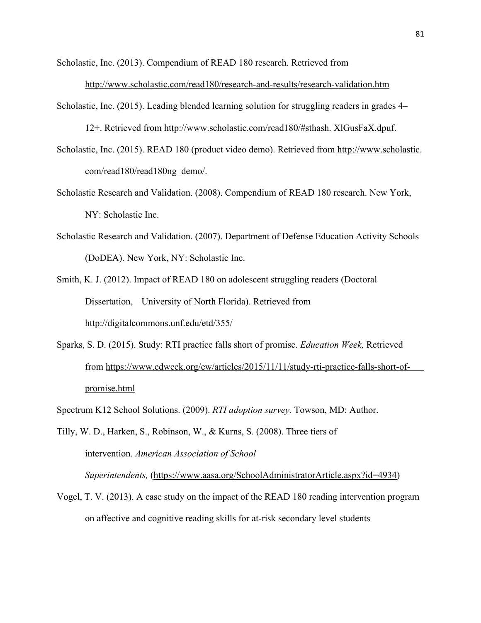Scholastic, Inc. (2013). Compendium of READ 180 research. Retrieved from

http://www.scholastic.com/read180/research-and-results/research-validation.htm

Scholastic, Inc. (2015). Leading blended learning solution for struggling readers in grades 4–

12+. Retrieved from http://www.scholastic.com/read180/#sthash. XlGusFaX.dpuf.

- Scholastic, Inc. (2015). READ 180 (product video demo). Retrieved from http://www.scholastic. com/read180/read180ng\_demo/.
- Scholastic Research and Validation. (2008). Compendium of READ 180 research. New York, NY: Scholastic Inc.
- Scholastic Research and Validation. (2007). Department of Defense Education Activity Schools (DoDEA). New York, NY: Scholastic Inc.
- Smith, K. J. (2012). Impact of READ 180 on adolescent struggling readers (Doctoral Dissertation, University of North Florida). Retrieved from http://digitalcommons.unf.edu/etd/355/
- Sparks, S. D. (2015). Study: RTI practice falls short of promise. *Education Week,* Retrieved from https://www.edweek.org/ew/articles/2015/11/11/study-rti-practice-falls-short-ofpromise.html
- Spectrum K12 School Solutions. (2009). *RTI adoption survey.* Towson, MD: Author.

Tilly, W. D., Harken, S., Robinson, W., & Kurns, S. (2008). Three tiers of intervention. *American Association of School Superintendents,* (https://www.aasa.org/SchoolAdministratorArticle.aspx?id=4934)

Vogel, T. V. (2013). A case study on the impact of the READ 180 reading intervention program on affective and cognitive reading skills for at-risk secondary level students